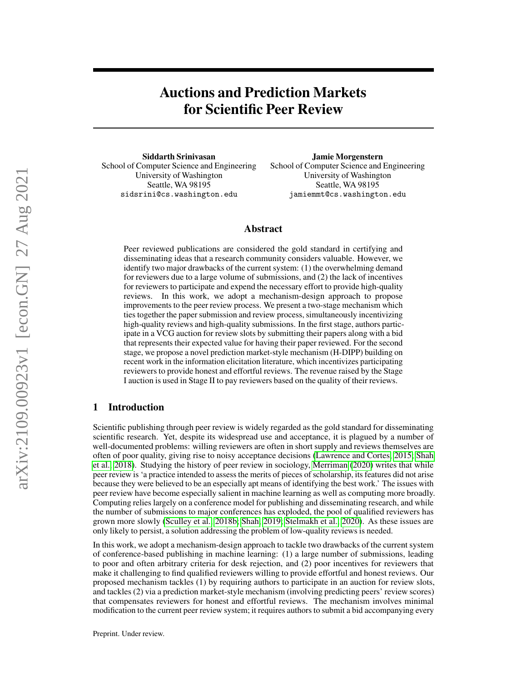# Auctions and Prediction Markets for Scientific Peer Review

Siddarth Srinivasan School of Computer Science and Engineering University of Washington Seattle, WA 98195 sidsrini@cs.washington.edu

Jamie Morgenstern

School of Computer Science and Engineering University of Washington Seattle, WA 98195 jamiemmt@cs.washington.edu

## Abstract

Peer reviewed publications are considered the gold standard in certifying and disseminating ideas that a research community considers valuable. However, we identify two major drawbacks of the current system: (1) the overwhelming demand for reviewers due to a large volume of submissions, and (2) the lack of incentives for reviewers to participate and expend the necessary effort to provide high-quality reviews. In this work, we adopt a mechanism-design approach to propose improvements to the peer review process. We present a two-stage mechanism which ties together the paper submission and review process, simultaneously incentivizing high-quality reviews and high-quality submissions. In the first stage, authors participate in a VCG auction for review slots by submitting their papers along with a bid that represents their expected value for having their paper reviewed. For the second stage, we propose a novel prediction market-style mechanism (H-DIPP) building on recent work in the information elicitation literature, which incentivizes participating reviewers to provide honest and effortful reviews. The revenue raised by the Stage I auction is used in Stage II to pay reviewers based on the quality of their reviews.

#### 1 Introduction

Scientific publishing through peer review is widely regarded as the gold standard for disseminating scientific research. Yet, despite its widespread use and acceptance, it is plagued by a number of well-documented problems: willing reviewers are often in short supply and reviews themselves are often of poor quality, giving rise to noisy acceptance decisions [\(Lawrence and Cortes, 2015;](#page-19-0) [Shah](#page-19-1) [et al., 2018\)](#page-19-1). Studying the history of peer review in sociology, [Merriman](#page-19-2) [\(2020\)](#page-19-2) writes that while peer review is 'a practice intended to assess the merits of pieces of scholarship, its features did not arise because they were believed to be an especially apt means of identifying the best work.' The issues with peer review have become especially salient in machine learning as well as computing more broadly. Computing relies largely on a conference model for publishing and disseminating research, and while the number of submissions to major conferences has exploded, the pool of qualified reviewers has grown more slowly [\(Sculley et al., 2018b;](#page-19-3) [Shah, 2019;](#page-19-4) [Stelmakh et al., 2020\)](#page-19-5). As these issues are only likely to persist, a solution addressing the problem of low-quality reviews is needed.

In this work, we adopt a mechanism-design approach to tackle two drawbacks of the current system of conference-based publishing in machine learning: (1) a large number of submissions, leading to poor and often arbitrary criteria for desk rejection, and (2) poor incentives for reviewers that make it challenging to find qualified reviewers willing to provide effortful and honest reviews. Our proposed mechanism tackles (1) by requiring authors to participate in an auction for review slots, and tackles (2) via a prediction market-style mechanism (involving predicting peers' review scores) that compensates reviewers for honest and effortful reviews. The mechanism involves minimal modification to the current peer review system; it requires authors to submit a bid accompanying every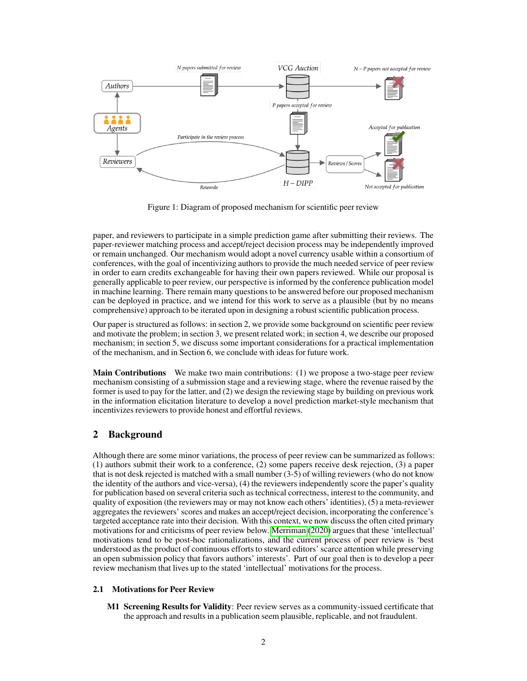

Figure 1: Diagram of proposed mechanism for scientific peer review

paper, and reviewers to participate in a simple prediction game after submitting their reviews. The paper-reviewer matching process and accept/reject decision process may be independently improved or remain unchanged. Our mechanism would adopt a novel currency usable within a consortium of conferences, with the goal of incentivizing authors to provide the much needed service of peer review in order to earn credits exchangeable for having their own papers reviewed. While our proposal is generally applicable to peer review, our perspective is informed by the conference publication model in machine learning. There remain many questions to be answered before our proposed mechanism can be deployed in practice, and we intend for this work to serve as a plausible (but by no means comprehensive) approach to be iterated upon in designing a robust scientific publication process.

Our paper is structured as follows: in section 2, we provide some background on scientific peer review and motivate the problem; in section 3, we present related work; in section 4, we describe our proposed mechanism; in section 5, we discuss some important considerations for a practical implementation of the mechanism, and in Section 6, we conclude with ideas for future work.

**Main Contributions** We make two main contributions: (1) we propose a two-stage peer review mechanism consisting of a submission stage and a reviewing stage, where the revenue raised by the former is used to pay for the latter, and (2) we design the reviewing stage by building on previous work in the information elicitation literature to develop a novel prediction market-style mechanism that incentivizes reviewers to provide honest and effortful reviews.

# 2 Background

Although there are some minor variations, the process of peer review can be summarized as follows: (1) authors submit their work to a conference, (2) some papers receive desk rejection, (3) a paper that is not desk rejected is matched with a small number (3-5) of willing reviewers (who do not know the identity of the authors and vice-versa), (4) the reviewers independently score the paper's quality for publication based on several criteria such as technical correctness, interest to the community, and quality of exposition (the reviewers may or may not know each others' identities), (5) a meta-reviewer aggregates the reviewers' scores and makes an accept/reject decision, incorporating the conference's targeted acceptance rate into their decision. With this context, we now discuss the often cited primary motivations for and criticisms of peer review below. [Merriman](#page-19-2) [\(2020\)](#page-19-2) argues that these 'intellectual' motivations tend to be post-hoc rationalizations, and the current process of peer review is 'best understood as the product of continuous efforts to steward editors' scarce attention while preserving an open submission policy that favors authors' interests'. Part of our goal then is to develop a peer review mechanism that lives up to the stated 'intellectual' motivations for the process.

#### 2.1 Motivations for Peer Review

M1 Screening Results for Validity: Peer review serves as a community-issued certificate that the approach and results in a publication seem plausible, replicable, and not fraudulent.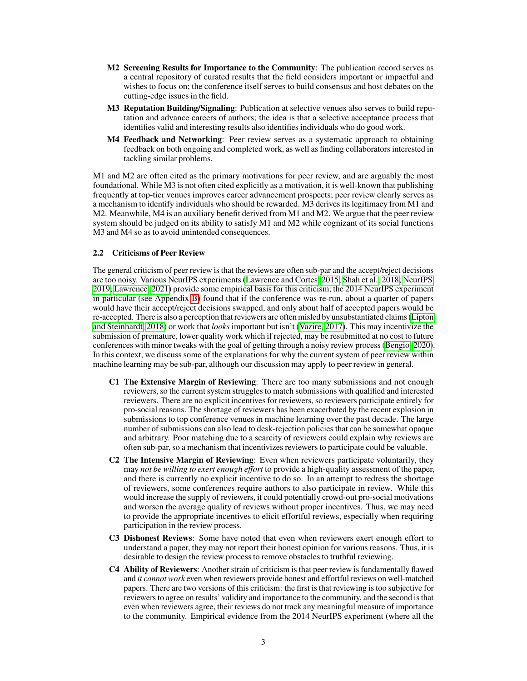- M2 Screening Results for Importance to the Community: The publication record serves as a central repository of curated results that the field considers important or impactful and wishes to focus on; the conference itself serves to build consensus and host debates on the cutting-edge issues in the field.
- M3 Reputation Building/Signaling: Publication at selective venues also serves to build reputation and advance careers of authors; the idea is that a selective acceptance process that identifies valid and interesting results also identifies individuals who do good work.
- M4 Feedback and Networking: Peer review serves as a systematic approach to obtaining feedback on both ongoing and completed work, as well as finding collaborators interested in tackling similar problems.

M1 and M2 are often cited as the primary motivations for peer review, and are arguably the most foundational. While M3 is not often cited explicitly as a motivation, it is well-known that publishing frequently at top-tier venues improves career advancement prospects; peer review clearly serves as a mechanism to identify individuals who should be rewarded. M3 derives its legitimacy from M1 and M2. Meanwhile, M4 is an auxiliary benefit derived from M1 and M2. We argue that the peer review system should be judged on its ability to satisfy M1 and M2 while cognizant of its social functions M3 and M4 so as to avoid unintended consequences.

## 2.2 Criticisms of Peer Review

The general criticism of peer review is that the reviews are often sub-par and the accept/reject decisions are too noisy. Various NeurIPS experiments [\(Lawrence and Cortes, 2015;](#page-19-0) [Shah et al., 2018;](#page-19-1) [NeurIPS,](#page-19-6) [2019;](#page-19-6) [Lawrence, 2021\)](#page-18-0) provide some empirical basis for this criticism; the 2014 NeurIPS experiment in particular (see Appendix [B\)](#page-22-0) found that if the conference was re-run, about a quarter of papers would have their accept/reject decisions swapped, and only about half of accepted papers would be re-accepted. There is also a perception that reviewers are often misled by unsubstantiated claims [\(Lipton](#page-19-7) [and Steinhardt, 2018\)](#page-19-7) or work that *looks* important but isn't [\(Vazire, 2017\)](#page-19-8). This may incentivize the submission of premature, lower quality work which if rejected, may be resubmitted at no cost to future conferences with minor tweaks with the goal of getting through a noisy review process [\(Bengio, 2020\)](#page-18-1). In this context, we discuss some of the explanations for why the current system of peer review within machine learning may be sub-par, although our discussion may apply to peer review in general.

- C1 The Extensive Margin of Reviewing: There are too many submissions and not enough reviewers, so the current system struggles to match submissions with qualified and interested reviewers. There are no explicit incentives for reviewers, so reviewers participate entirely for pro-social reasons. The shortage of reviewers has been exacerbated by the recent explosion in submissions to top conference venues in machine learning over the past decade. The large number of submissions can also lead to desk-rejection policies that can be somewhat opaque and arbitrary. Poor matching due to a scarcity of reviewers could explain why reviews are often sub-par, so a mechanism that incentivizes reviewers to participate could be valuable.
- C2 The Intensive Margin of Reviewing: Even when reviewers participate voluntarily, they may *not be willing to exert enough effort* to provide a high-quality assessment of the paper, and there is currently no explicit incentive to do so. In an attempt to redress the shortage of reviewers, some conferences require authors to also participate in review. While this would increase the supply of reviewers, it could potentially crowd-out pro-social motivations and worsen the average quality of reviews without proper incentives. Thus, we may need to provide the appropriate incentives to elicit effortful reviews, especially when requiring participation in the review process.
- C3 Dishonest Reviews: Some have noted that even when reviewers exert enough effort to understand a paper, they may not report their honest opinion for various reasons. Thus, it is desirable to design the review process to remove obstacles to truthful reviewing.
- C4 Ability of Reviewers: Another strain of criticism is that peer review is fundamentally flawed and *it cannot work* even when reviewers provide honest and effortful reviews on well-matched papers. There are two versions of this criticism: the first is that reviewing is too subjective for reviewers to agree on results' validity and importance to the community, and the second is that even when reviewers agree, their reviews do not track any meaningful measure of importance to the community. Empirical evidence from the 2014 NeurIPS experiment (where all the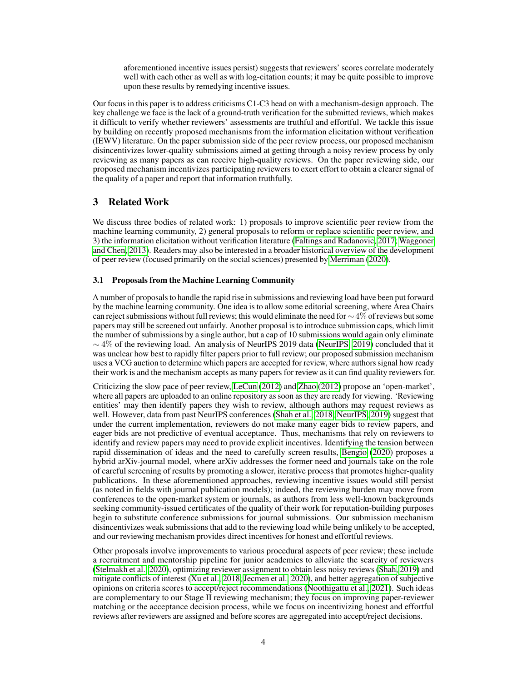aforementioned incentive issues persist) suggests that reviewers' scores correlate moderately well with each other as well as with log-citation counts; it may be quite possible to improve upon these results by remedying incentive issues.

Our focus in this paper is to address criticisms C1-C3 head on with a mechanism-design approach. The key challenge we face is the lack of a ground-truth verification for the submitted reviews, which makes it difficult to verify whether reviewers' assessments are truthful and effortful. We tackle this issue by building on recently proposed mechanisms from the information elicitation without verification (IEWV) literature. On the paper submission side of the peer review process, our proposed mechanism disincentivizes lower-quality submissions aimed at getting through a noisy review process by only reviewing as many papers as can receive high-quality reviews. On the paper reviewing side, our proposed mechanism incentivizes participating reviewers to exert effort to obtain a clearer signal of the quality of a paper and report that information truthfully.

## 3 Related Work

We discuss three bodies of related work: 1) proposals to improve scientific peer review from the machine learning community, 2) general proposals to reform or replace scientific peer review, and 3) the information elicitation without verification literature [\(Faltings and Radanovic, 2017;](#page-18-2) [Waggoner](#page-19-9) [and Chen, 2013\)](#page-19-9). Readers may also be interested in a broader historical overview of the development of peer review (focused primarily on the social sciences) presented by [Merriman](#page-19-2) [\(2020\)](#page-19-2).

#### 3.1 Proposals from the Machine Learning Community

A number of proposals to handle the rapid rise in submissions and reviewing load have been put forward by the machine learning community. One idea is to allow some editorial screening, where Area Chairs can reject submissions without full reviews; this would eliminate the need for ∼4% of reviews but some papers may still be screened out unfairly. Another proposal is to introduce submission caps, which limit the number of submissions by a single author, but a cap of 10 submissions would again only eliminate  $\sim$  4% of the reviewing load. An analysis of NeurIPS 2019 data [\(NeurIPS, 2019\)](#page-19-6) concluded that it was unclear how best to rapidly filter papers prior to full review; our proposed submission mechanism uses a VCG auction to determine which papers are accepted for review, where authors signal how ready their work is and the mechanism accepts as many papers for review as it can find quality reviewers for.

Criticizing the slow pace of peer review, [LeCun](#page-19-10) [\(2012\)](#page-19-10) and [Zhao](#page-20-0) [\(2012\)](#page-20-0) propose an 'open-market', where all papers are uploaded to an online repository as soon as they are ready for viewing. 'Reviewing entities' may then identify papers they wish to review, although authors may request reviews as well. However, data from past NeurIPS conferences [\(Shah et al., 2018;](#page-19-1) [NeurIPS, 2019\)](#page-19-6) suggest that under the current implementation, reviewers do not make many eager bids to review papers, and eager bids are not predictive of eventual acceptance. Thus, mechanisms that rely on reviewers to identify and review papers may need to provide explicit incentives. Identifying the tension between rapid dissemination of ideas and the need to carefully screen results, [Bengio](#page-18-1) [\(2020\)](#page-18-1) proposes a hybrid arXiv-journal model, where arXiv addresses the former need and journals take on the role of careful screening of results by promoting a slower, iterative process that promotes higher-quality publications. In these aforementioned approaches, reviewing incentive issues would still persist (as noted in fields with journal publication models); indeed, the reviewing burden may move from conferences to the open-market system or journals, as authors from less well-known backgrounds seeking community-issued certificates of the quality of their work for reputation-building purposes begin to substitute conference submissions for journal submissions. Our submission mechanism disincentivizes weak submissions that add to the reviewing load while being unlikely to be accepted, and our reviewing mechanism provides direct incentives for honest and effortful reviews.

Other proposals involve improvements to various procedural aspects of peer review; these include a recruitment and mentorship pipeline for junior academics to alleviate the scarcity of reviewers [\(Stelmakh et al., 2020\)](#page-19-5), optimizing reviewer assignment to obtain less noisy reviews [\(Shah, 2019\)](#page-19-4) and mitigate conflicts of interest [\(Xu et al., 2018;](#page-20-1) [Jecmen et al., 2020\)](#page-18-3), and better aggregation of subjective opinions on criteria scores to accept/reject recommendations [\(Noothigattu et al., 2021\)](#page-19-11). Such ideas are complementary to our Stage II reviewing mechanism; they focus on improving paper-reviewer matching or the acceptance decision process, while we focus on incentivizing honest and effortful reviews after reviewers are assigned and before scores are aggregated into accept/reject decisions.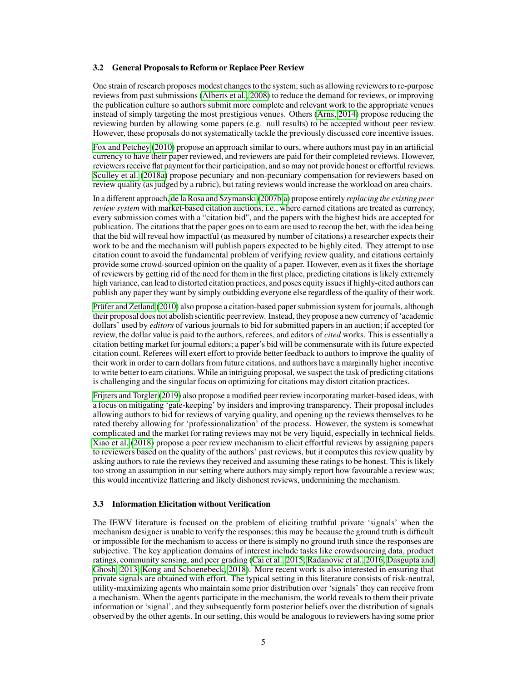#### 3.2 General Proposals to Reform or Replace Peer Review

One strain of research proposes modest changes to the system, such as allowing reviewers to re-purpose reviews from past submissions [\(Alberts et al., 2008\)](#page-18-4) to reduce the demand for reviews, or improving the publication culture so authors submit more complete and relevant work to the appropriate venues instead of simply targeting the most prestigious venues. Others [\(Arns, 2014\)](#page-18-5) propose reducing the reviewing burden by allowing some papers (e.g. null results) to be accepted without peer review. However, these proposals do not systematically tackle the previously discussed core incentive issues.

[Fox and Petchey](#page-18-6) [\(2010\)](#page-18-6) propose an approach similar to ours, where authors must pay in an artificial currency to have their paper reviewed, and reviewers are paid for their completed reviews. However, reviewers receive flat payment for their participation, and so may not provide honest or effortful reviews. [Sculley et al.](#page-19-12) [\(2018a\)](#page-19-12) propose pecuniary and non-pecuniary compensation for reviewers based on review quality (as judged by a rubric), but rating reviews would increase the workload on area chairs.

In a different approach, [de la Rosa and Szymanski](#page-18-7) [\(2007b](#page-18-7)[,a\)](#page-18-8) propose entirely *replacing the existing peer review system* with market-based citation auctions, i.e., where earned citations are treated as currency, every submission comes with a "citation bid", and the papers with the highest bids are accepted for publication. The citations that the paper goes on to earn are used to recoup the bet, with the idea being that the bid will reveal how impactful (as measured by number of citations) a researcher expects their work to be and the mechanism will publish papers expected to be highly cited. They attempt to use citation count to avoid the fundamental problem of verifying review quality, and citations certainly provide some crowd-sourced opinion on the quality of a paper. However, even as it fixes the shortage of reviewers by getting rid of the need for them in the first place, predicting citations is likely extremely high variance, can lead to distorted citation practices, and poses equity issues if highly-cited authors can publish any paper they want by simply outbidding everyone else regardless of the quality of their work.

[Prüfer and Zetland](#page-19-13) [\(2010\)](#page-19-13) also propose a citation-based paper submission system for journals, although their proposal does not abolish scientific peer review. Instead, they propose a new currency of 'academic dollars' used by *editors* of various journals to bid for submitted papers in an auction; if accepted for review, the dollar value is paid to the authors, referees, and editors of *cited* works. This is essentially a citation betting market for journal editors; a paper's bid will be commensurate with its future expected citation count. Referees will exert effort to provide better feedback to authors to improve the quality of their work in order to earn dollars from future citations, and authors have a marginally higher incentive to write better to earn citations. While an intriguing proposal, we suspect the task of predicting citations is challenging and the singular focus on optimizing for citations may distort citation practices.

[Frijters and Torgler](#page-18-9) [\(2019\)](#page-18-9) also propose a modified peer review incorporating market-based ideas, with a focus on mitigating 'gate-keeping' by insiders and improving transparency. Their proposal includes allowing authors to bid for reviews of varying quality, and opening up the reviews themselves to be rated thereby allowing for 'professionalization' of the process. However, the system is somewhat complicated and the market for rating reviews may not be very liquid, especially in technical fields. [Xiao et al.](#page-20-2) [\(2018\)](#page-20-2) propose a peer review mechanism to elicit effortful reviews by assigning papers to reviewers based on the quality of the authors' past reviews, but it computes this review quality by asking authors to rate the reviews they received and assuming these ratings to be honest. This is likely too strong an assumption in our setting where authors may simply report how favourable a review was; this would incentivize flattering and likely dishonest reviews, undermining the mechanism.

#### 3.3 Information Elicitation without Verification

The IEWV literature is focused on the problem of eliciting truthful private 'signals' when the mechanism designer is unable to verify the responses; this may be because the ground truth is difficult or impossible for the mechanism to access or there is simply no ground truth since the responses are subjective. The key application domains of interest include tasks like crowdsourcing data, product ratings, community sensing, and peer grading [\(Cai et al., 2015;](#page-18-10) [Radanovic et al., 2016;](#page-19-14) [Dasgupta and](#page-18-11) [Ghosh, 2013;](#page-18-11) [Kong and Schoenebeck, 2018\)](#page-18-12). More recent work is also interested in ensuring that private signals are obtained with effort. The typical setting in this literature consists of risk-neutral, utility-maximizing agents who maintain some prior distribution over 'signals' they can receive from a mechanism. When the agents participate in the mechanism, the world reveals to them their private information or 'signal', and they subsequently form posterior beliefs over the distribution of signals observed by the other agents. In our setting, this would be analogous to reviewers having some prior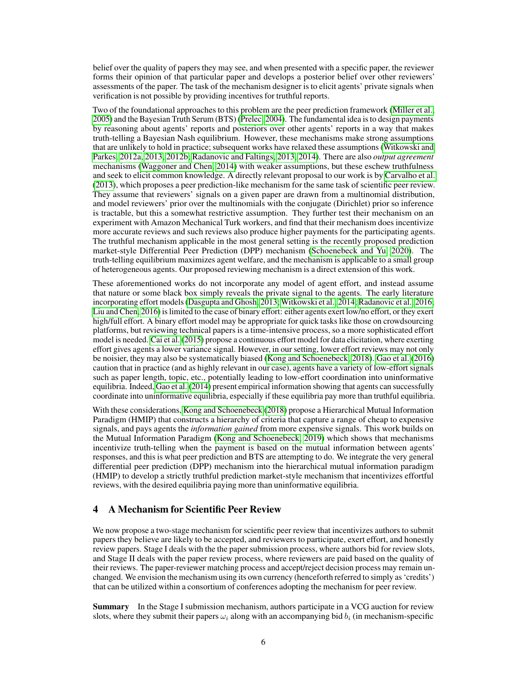belief over the quality of papers they may see, and when presented with a specific paper, the reviewer forms their opinion of that particular paper and develops a posterior belief over other reviewers' assessments of the paper. The task of the mechanism designer is to elicit agents' private signals when verification is not possible by providing incentives for truthful reports.

Two of the foundational approaches to this problem are the peer prediction framework [\(Miller et al.,](#page-19-15) [2005\)](#page-19-15) and the Bayesian Truth Serum (BTS) [\(Prelec, 2004\)](#page-19-16). The fundamental idea is to design payments by reasoning about agents' reports and posteriors over other agents' reports in a way that makes truth-telling a Bayesian Nash equilibrium. However, these mechanisms make strong assumptions that are unlikely to hold in practice; subsequent works have relaxed these assumptions [\(Witkowski and](#page-20-3) [Parkes, 2012a,](#page-20-3) [2013,](#page-20-4) [2012b;](#page-20-5) [Radanovic and Faltings, 2013,](#page-19-17) [2014\)](#page-19-18). There are also *output agreement* mechanisms [\(Waggoner and Chen, 2014\)](#page-19-19) with weaker assumptions, but these eschew truthfulness and seek to elicit common knowledge. A directly relevant proposal to our work is by [Carvalho et al.](#page-18-13) [\(2013\)](#page-18-13), which proposes a peer prediction-like mechanism for the same task of scientific peer review. They assume that reviewers' signals on a given paper are drawn from a multinomial distribution, and model reviewers' prior over the multinomials with the conjugate (Dirichlet) prior so inference is tractable, but this a somewhat restrictive assumption. They further test their mechanism on an experiment with Amazon Mechanical Turk workers, and find that their mechanism does incentivize more accurate reviews and such reviews also produce higher payments for the participating agents. The truthful mechanism applicable in the most general setting is the recently proposed prediction market-style Differential Peer Prediction (DPP) mechanism [\(Schoenebeck and Yu, 2020\)](#page-19-20). The truth-telling equilibrium maximizes agent welfare, and the mechanism is applicable to a small group of heterogeneous agents. Our proposed reviewing mechanism is a direct extension of this work.

These aforementioned works do not incorporate any model of agent effort, and instead assume that nature or some black box simply reveals the private signal to the agents. The early literature incorporating effort models [\(Dasgupta and Ghosh, 2013;](#page-18-11) [Witkowski et al., 2014;](#page-20-6) [Radanovic et al., 2016;](#page-19-14) [Liu and Chen, 2016\)](#page-19-21) is limited to the case of binary effort: either agents exert low/no effort, or they exert high/full effort. A binary effort model may be appropriate for quick tasks like those on crowdsourcing platforms, but reviewing technical papers is a time-intensive process, so a more sophisticated effort model is needed. [Cai et al.](#page-18-10) [\(2015\)](#page-18-10) propose a continuous effort model for data elicitation, where exerting effort gives agents a lower variance signal. However, in our setting, lower effort reviews may not only be noisier, they may also be systematically biased [\(Kong and Schoenebeck, 2018\)](#page-18-12). [Gao et al.](#page-18-14) [\(2016\)](#page-18-14) caution that in practice (and as highly relevant in our case), agents have a variety of low-effort signals such as paper length, topic, etc., potentially leading to low-effort coordination into uninformative equilibria. Indeed, [Gao et al.](#page-18-15) [\(2014\)](#page-18-15) present empirical information showing that agents can successfully coordinate into uninformative equilibria, especially if these equilibria pay more than truthful equilibria.

With these considerations, [Kong and Schoenebeck](#page-18-12) [\(2018\)](#page-18-12) propose a Hierarchical Mutual Information Paradigm (HMIP) that constructs a hierarchy of criteria that capture a range of cheap to expensive signals, and pays agents the *information gained* from more expensive signals. This work builds on the Mutual Information Paradigm [\(Kong and Schoenebeck, 2019\)](#page-18-16) which shows that mechanisms incentivize truth-telling when the payment is based on the mutual information between agents' responses, and this is what peer prediction and BTS are attempting to do. We integrate the very general differential peer prediction (DPP) mechanism into the hierarchical mutual information paradigm (HMIP) to develop a strictly truthful prediction market-style mechanism that incentivizes effortful reviews, with the desired equilibria paying more than uninformative equilibria.

## 4 A Mechanism for Scientific Peer Review

We now propose a two-stage mechanism for scientific peer review that incentivizes authors to submit papers they believe are likely to be accepted, and reviewers to participate, exert effort, and honestly review papers. Stage I deals with the the paper submission process, where authors bid for review slots, and Stage II deals with the paper review process, where reviewers are paid based on the quality of their reviews. The paper-reviewer matching process and accept/reject decision process may remain unchanged. We envision the mechanism using its own currency (henceforth referred to simply as 'credits') that can be utilized within a consortium of conferences adopting the mechanism for peer review.

Summary In the Stage I submission mechanism, authors participate in a VCG auction for review slots, where they submit their papers  $\omega_i$  along with an accompanying bid  $b_i$  (in mechanism-specific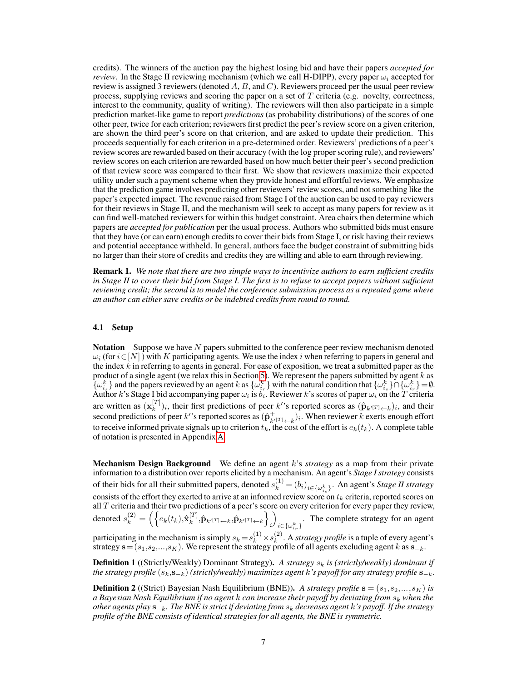credits). The winners of the auction pay the highest losing bid and have their papers *accepted for review*. In the Stage II reviewing mechanism (which we call H-DIPP), every paper  $\omega_i$  accepted for review is assigned 3 reviewers (denoted  $A, B$ , and  $C$ ). Reviewers proceed per the usual peer review process, supplying reviews and scoring the paper on a set of  $T$  criteria (e.g. novelty, correctness, interest to the community, quality of writing). The reviewers will then also participate in a simple prediction market-like game to report *predictions* (as probability distributions) of the scores of one other peer, twice for each criterion; reviewers first predict the peer's review score on a given criterion, are shown the third peer's score on that criterion, and are asked to update their prediction. This proceeds sequentially for each criterion in a pre-determined order. Reviewers' predictions of a peer's review scores are rewarded based on their accuracy (with the log proper scoring rule), and reviewers' review scores on each criterion are rewarded based on how much better their peer's second prediction of that review score was compared to their first. We show that reviewers maximize their expected utility under such a payment scheme when they provide honest and effortful reviews. We emphasize that the prediction game involves predicting other reviewers' review scores, and not something like the paper's expected impact. The revenue raised from Stage I of the auction can be used to pay reviewers for their reviews in Stage II, and the mechanism will seek to accept as many papers for review as it can find well-matched reviewers for within this budget constraint. Area chairs then determine which papers are *accepted for publication* per the usual process. Authors who submitted bids must ensure that they have (or can earn) enough credits to cover their bids from Stage I, or risk having their reviews and potential acceptance withheld. In general, authors face the budget constraint of submitting bids no larger than their store of credits and credits they are willing and able to earn through reviewing.

Remark 1. *We note that there are two simple ways to incentivize authors to earn sufficient credits in Stage II to cover their bid from Stage I. The first is to refuse to accept papers without sufficient reviewing credit; the second is to model the conference submission process as a repeated game where an author can either save credits or be indebted credits from round to round.*

#### 4.1 Setup

**Notation** Suppose we have N papers submitted to the conference peer review mechanism denoted  $\omega_i$  (for  $i \in [N]$ ) with K participating agents. We use the index i when referring to papers in general and the index  $k$  in referring to agents in general. For ease of exposition, we treat a submitted paper as the product of a single agent (we relax this in Section [5\)](#page-15-0). We represent the papers submitted by agent  $k$  as  $\{\omega_{i_s}^k\}$  and the papers reviewed by an agent k as  $\{\omega_{i_r}^k\}$  with the natural condition that  $\{\omega_{i_s}^k\}\cap \{\omega_{i_r}^k\} = \emptyset$ . Author k's Stage I bid accompanying paper  $\omega_i$  is  $b_i$ . Reviewer k's scores of paper  $\omega_i$  on the  $T$  criteria are written as  $(\mathbf{x}_k^{[T]})$  $\hat{k}^{[T]}_{k}$ )<sub>i</sub>, their first predictions of peer k''s reported scores as  $(\hat{\mathbf{p}}_{k'}(T)_{\leftarrow k})_i$ , and their second predictions of peer k''s reported scores as  $(\hat{\mathbf{p}}_{k'}^+(x)_{k'})_i$ . When reviewer k exerts enough effort to receive informed private signals up to criterion  $t_k$ , the cost of the effort is  $e_k(t_k)$ . A complete table of notation is presented in Appendix [A.](#page-21-0)

Mechanism Design Background We define an agent k's *strategy* as a map from their private information to a distribution over reports elicited by a mechanism. An agent's *Stage I strategy* consists of their bids for all their submitted papers, denoted  $s_k^{(1)} = (b_i)_{i \in \{\omega_{i_s}^k\}}$ . An agent's *Stage II strategy* consists of the effort they exerted to arrive at an informed review score on  $t_k$  criteria, reported scores on all  $T$  criteria and their two predictions of a peer's score on every criterion for every paper they review, denoted  $s_k^{(2)} = \left( \left\{ e_k(t_k), \hat{\mathbf{x}}_k^{[T]} \right. \right.$  $_{k}^{[T]},\hat{\textbf{p}}_{k^{\prime}[T]\leftarrow k},\hat{\textbf{p}}_{k^{\prime}[T]\leftarrow k}\Big\}$ i  $\setminus$  $i \in \{ \omega_{i_r}^k \}$ . The complete strategy for an agent participating in the mechanism is simply  $s_k = s_k^{(1)} \times s_k^{(2)}$ 

 $k<sup>(2)</sup>$ . A *strategy profile* is a tuple of every agent's strategy  $\mathbf{s} = (s_1,s_2,...,s_K)$ . We represent the strategy profile of all agents excluding agent k as  $\mathbf{s}_{-k}$ .

**Definition 1** ((Strictly/Weakly) Dominant Strategy). A strategy  $s_k$  is (strictly/weakly) dominant if *the strategy profile* ( $s_k$ , $s_{-k}$ ) *(strictly/weakly) maximizes agent* k*'s payoff for any strategy profile*  $s_{-k}$ *.* 

**Definition 2** ((Strict) Bayesian Nash Equilibrium (BNE)). A strategy profile  $s = (s_1, s_2,...,s_K)$  is *a Bayesian Nash Equilibrium if no agent k can increase their payoff by deviating from*  $s_k$  when the *other agents play* s<sup>−</sup>k*. The BNE is strict if deviating from* s<sup>k</sup> *decreases agent* k*'s payoff. If the strategy profile of the BNE consists of identical strategies for all agents, the BNE is symmetric.*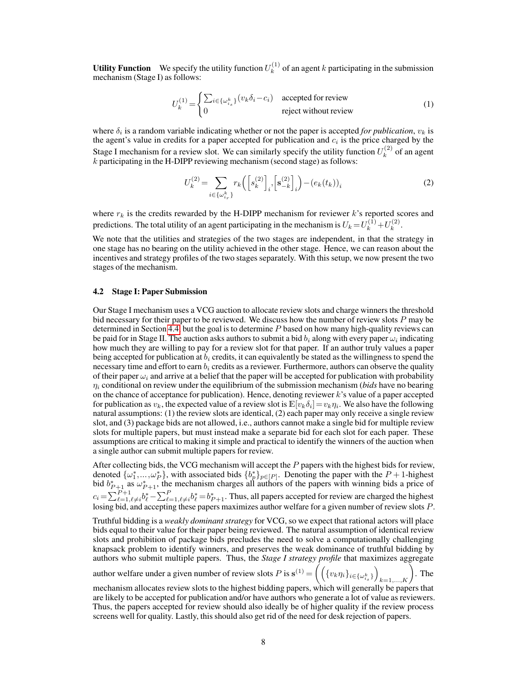**Utility Function** We specify the utility function  $U_k^{(1)}$  $k_k^{(1)}$  of an agent k participating in the submission mechanism (Stage I) as follows:

$$
U_k^{(1)} = \begin{cases} \sum_{i \in \{\omega_{i_s}^k\}} (v_k \delta_i - c_i) & \text{accepted for review} \\ 0 & \text{reject without review} \end{cases}
$$
 (1)

where  $\delta_i$  is a random variable indicating whether or not the paper is accepted *for publication*,  $v_k$  is the agent's value in credits for a paper accepted for publication and  $c_i$  is the price charged by the Stage I mechanism for a review slot. We can similarly specify the utility function  $U_k^{(2)}$  $k^{(2)}$  of an agent  $k$  participating in the H-DIPP reviewing mechanism (second stage) as follows:

$$
U_k^{(2)} = \sum_{i \in \{\omega_{i_r}^k\}} r_k \left( \left[ s_k^{(2)} \right]_i, \left[ s_{-k}^{(2)} \right]_i \right) - \left( e_k(t_k) \right)_i \tag{2}
$$

where  $r_k$  is the credits rewarded by the H-DIPP mechanism for reviewer  $k$ 's reported scores and predictions. The total utility of an agent participating in the mechanism is  $U_k = U_k^{(1)} + U_k^{(2)}$  $\binom{2}{k}$ .

We note that the utilities and strategies of the two stages are independent, in that the strategy in one stage has no bearing on the utility achieved in the other stage. Hence, we can reason about the incentives and strategy profiles of the two stages separately. With this setup, we now present the two stages of the mechanism.

#### <span id="page-7-0"></span>4.2 Stage I: Paper Submission

Our Stage I mechanism uses a VCG auction to allocate review slots and charge winners the threshold bid necessary for their paper to be reviewed. We discuss how the number of review slots  $P$  may be determined in Section [4.4,](#page-14-0) but the goal is to determine  $P$  based on how many high-quality reviews can be paid for in Stage II. The auction asks authors to submit a bid  $b_i$  along with every paper  $\omega_i$  indicating how much they are willing to pay for a review slot for that paper. If an author truly values a paper being accepted for publication at  $b_i$  credits, it can equivalently be stated as the willingness to spend the necessary time and effort to earn  $b_i$  credits as a reviewer. Furthermore, authors can observe the quality of their paper  $\omega_i$  and arrive at a belief that the paper will be accepted for publication with probability  $\eta_i$  conditional on review under the equilibrium of the submission mechanism (*bids* have no bearing on the chance of acceptance for publication). Hence, denoting reviewer  $k$ 's value of a paper accepted for publication as  $v_k$ , the expected value of a review slot is  $\mathbb{E}[v_k \delta_i] = v_k \eta_i$ . We also have the following natural assumptions: (1) the review slots are identical, (2) each paper may only receive a single review slot, and (3) package bids are not allowed, i.e., authors cannot make a single bid for multiple review slots for multiple papers, but must instead make a separate bid for each slot for each paper. These assumptions are critical to making it simple and practical to identify the winners of the auction when a single author can submit multiple papers for review.

After collecting bids, the VCG mechanism will accept the  $P$  papers with the highest bids for review, denoted  $\{\omega_1^*,...,\omega_P^*\}$ , with associated bids  $\{b_p^*\}_{p\in[P]}$ . Denoting the paper with the  $P+1$ -highest bid  $b_{P+1}^*$  as  $\omega_{P+1}^*$ , the mechanism charges all authors of the papers with winning bids a price of  $c_i = \sum_{\ell=1,\ell\neq i}^{P+1} b_\ell^* - \sum_{\ell=1,\ell\neq i}^{P} b_\ell^* = b_{P+1}^*$ . Thus, all papers accepted for review are charged the highest losing bid, and accepting these papers maximizes author welfare for a given number of review slots P.

Truthful bidding is a *weakly dominant strategy* for VCG, so we expect that rational actors will place bids equal to their value for their paper being reviewed. The natural assumption of identical review slots and prohibition of package bids precludes the need to solve a computationally challenging knapsack problem to identify winners, and preserves the weak dominance of truthful bidding by authors who submit multiple papers. Thus, the *Stage I strategy profile* that maximizes aggregate

author welfare under a given number of review slots  $P$  is  $\mathbf{s}^{(1)} = \left( \left( \{v_k \eta_i\}_{i \in \{\omega_{i_s}^k\}} \right)_{k=1,...,K} \right)$ . The

mechanism allocates review slots to the highest bidding papers, which will generally be papers that are likely to be accepted for publication and/or have authors who generate a lot of value as reviewers. Thus, the papers accepted for review should also ideally be of higher quality if the review process screens well for quality. Lastly, this should also get rid of the need for desk rejection of papers.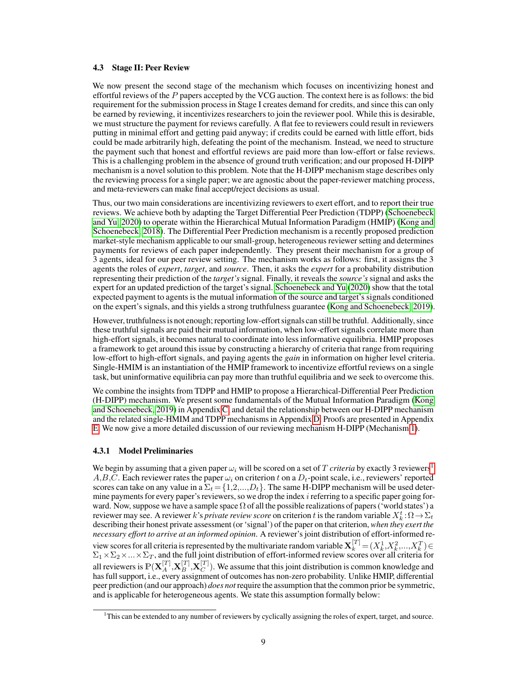#### 4.3 Stage II: Peer Review

We now present the second stage of the mechanism which focuses on incentivizing honest and effortful reviews of the  $P$  papers accepted by the VCG auction. The context here is as follows: the bid requirement for the submission process in Stage I creates demand for credits, and since this can only be earned by reviewing, it incentivizes researchers to join the reviewer pool. While this is desirable, we must structure the payment for reviews carefully. A flat fee to reviewers could result in reviewers putting in minimal effort and getting paid anyway; if credits could be earned with little effort, bids could be made arbitrarily high, defeating the point of the mechanism. Instead, we need to structure the payment such that honest and effortful reviews are paid more than low-effort or false reviews. This is a challenging problem in the absence of ground truth verification; and our proposed H-DIPP mechanism is a novel solution to this problem. Note that the H-DIPP mechanism stage describes only the reviewing process for a single paper; we are agnostic about the paper-reviewer matching process, and meta-reviewers can make final accept/reject decisions as usual.

Thus, our two main considerations are incentivizing reviewers to exert effort, and to report their true reviews. We achieve both by adapting the Target Differential Peer Prediction (TDPP) [\(Schoenebeck](#page-19-20) [and Yu, 2020\)](#page-19-20) to operate within the Hierarchical Mutual Information Paradigm (HMIP) [\(Kong and](#page-18-12) [Schoenebeck, 2018\)](#page-18-12). The Differential Peer Prediction mechanism is a recently proposed prediction market-style mechanism applicable to our small-group, heterogeneous reviewer setting and determines payments for reviews of each paper independently. They present their mechanism for a group of 3 agents, ideal for our peer review setting. The mechanism works as follows: first, it assigns the 3 agents the roles of *expert*, *target*, and *source*. Then, it asks the *expert* for a probability distribution representing their prediction of the *target's* signal. Finally, it reveals the *source's* signal and asks the expert for an updated prediction of the target's signal. [Schoenebeck and Yu](#page-19-20) [\(2020\)](#page-19-20) show that the total expected payment to agents is the mutual information of the source and target's signals conditioned on the expert's signals, and this yields a strong truthfulness guarantee [\(Kong and Schoenebeck, 2019\)](#page-18-16).

However, truthfulness is not enough; reporting low-effort signals can still be truthful. Additionally, since these truthful signals are paid their mutual information, when low-effort signals correlate more than high-effort signals, it becomes natural to coordinate into less informative equilibria. HMIP proposes a framework to get around this issue by constructing a hierarchy of criteria that range from requiring low-effort to high-effort signals, and paying agents the *gain* in information on higher level criteria. Single-HMIM is an instantiation of the HMIP framework to incentivize effortful reviews on a single task, but uninformative equilibria can pay more than truthful equilibria and we seek to overcome this.

We combine the insights from TDPP and HMIP to propose a Hierarchical-Differential Peer Prediction (H-DIPP) mechanism. We present some fundamentals of the Mutual Information Paradigm [\(Kong](#page-18-16) [and Schoenebeck, 2019\)](#page-18-16) in Appendix [C,](#page-23-0) and detail the relationship between our H-DIPP mechanism and the related single-HMIM and TDPP mechanisms in Appendix [D.](#page-23-1) Proofs are presented in Appendix [E.](#page-24-0) We now give a more detailed discussion of our reviewing mechanism H-DIPP (Mechanism [1\)](#page-11-0).

#### 4.3.1 Model Preliminaries

We begin by assuming that a given paper  $\omega_i$  will be scored on a set of T *criteria* by exactly 3 reviewers<sup>[1](#page-8-0)</sup>  $A, B, C$ . Each reviewer rates the paper  $\omega_i$  on criterion t on a  $D_t$ -point scale, i.e., reviewers' reported scores can take on any value in a  $\Sigma_t = \{1, 2, ..., D_t\}$ . The same H-DIPP mechanism will be used determine payments for every paper's reviewers, so we drop the index  $i$  referring to a specific paper going forward. Now, suppose we have a sample space  $\Omega$  of all the possible realizations of papers ('world states') a reviewer may see. A reviewer k's *private review score* on criterion t is the random variable  $X_k^t$ :  $\Omega \to \Sigma_t$ describing their honest private assessment (or 'signal') of the paper on that criterion, *when they exert the necessary effort to arrive at an informed opinion*. A reviewer's joint distribution of effort-informed review scores for all criteria is represented by the multivariate random variable  $\mathbf{X}_k^{[T]} = (X_k^1, X_k^2, ..., X_k^T) \in$  $\Sigma_1\times\Sigma_2\times...\times\Sigma_T$ , and the full joint distribution of effort-informed review scores over all criteria for all reviewers is  $\mathbb{P}(\mathbf{X}_A^{[T]},\mathbf{X}_B^{[T]},\mathbf{X}_C^{[T]}$  $\binom{[1]}{C}$ . We assume that this joint distribution is common knowledge and has full support, i.e., every assignment of outcomes has non-zero probability. Unlike HMIP, differential peer prediction (and our approach) *does not* require the assumption that the common prior be symmetric, and is applicable for heterogeneous agents. We state this assumption formally below:

<span id="page-8-0"></span><sup>1</sup>This can be extended to any number of reviewers by cyclically assigning the roles of expert, target, and source.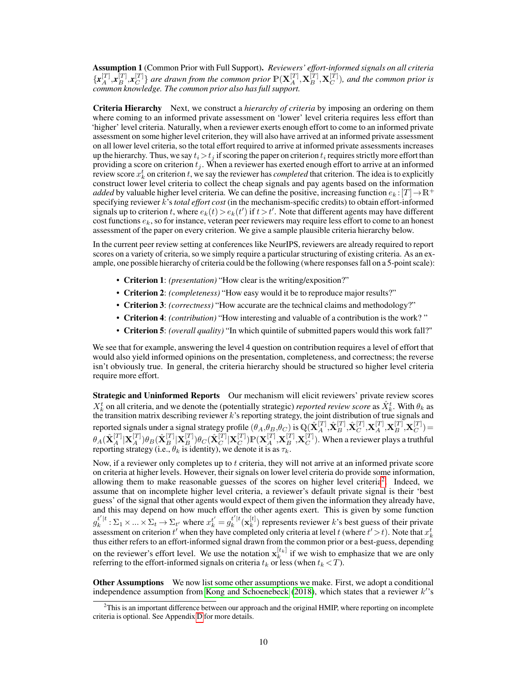Assumption 1 (Common Prior with Full Support). *Reviewers' effort-informed signals on all criteria*  $\{\pmb{x}_A^{[T]}, \pmb{x}_B^{[T]}, \pmb{x}_C^{[T]}$  $\mathbb{E}[T^T]$  are drawn from the common prior  $\mathbb{P}(\mathbf{X}_A^{[T]}, \mathbf{X}_B^{[T]}, \mathbf{X}_C^{[T]})$  $\begin{bmatrix} 1 & 1 \\ C & C \end{bmatrix}$ , and the common prior is *common knowledge. The common prior also has full support.*

Criteria Hierarchy Next, we construct a *hierarchy of criteria* by imposing an ordering on them where coming to an informed private assessment on 'lower' level criteria requires less effort than 'higher' level criteria. Naturally, when a reviewer exerts enough effort to come to an informed private assessment on some higher level criterion, they will also have arrived at an informed private assessment on all lower level criteria, so the total effort required to arrive at informed private assessments increases up the hierarchy. Thus, we say  $t_i > t_j$  if scoring the paper on criterion  $t_i$  requires strictly more effort than providing a score on criterion  $t_j$ . When a reviewer has exerted enough effort to arrive at an informed review score  $x_k^t$  on criterion  $t$ , we say the reviewer has *completed* that criterion. The idea is to explicitly construct lower level criteria to collect the cheap signals and pay agents based on the information *added* by valuable higher level criteria. We can define the positive, increasing function  $e_k$ :  $[T] \rightarrow \mathbb{R}^+$ specifying reviewer k's *total effort cost* (in the mechanism-specific credits) to obtain effort-informed signals up to criterion t, where  $e_k(t) > e_k(t')$  if  $t > t'$ . Note that different agents may have different cost functions  $e_k$ , so for instance, veteran peer reviewers may require less effort to come to an honest assessment of the paper on every criterion. We give a sample plausible criteria hierarchy below.

In the current peer review setting at conferences like NeurIPS, reviewers are already required to report scores on a variety of criteria, so we simply require a particular structuring of existing criteria. As an example, one possible hierarchy of criteria could be the following (where responses fall on a 5-point scale):

- Criterion 1: *(presentation)* "How clear is the writing/exposition?"
- Criterion 2: *(completeness)* "How easy would it be to reproduce major results?"
- Criterion 3: *(correctness)* "How accurate are the technical claims and methodology?"
- Criterion 4: *(contribution)* "How interesting and valuable of a contribution is the work? "
- Criterion 5: *(overall quality)* "In which quintile of submitted papers would this work fall?"

We see that for example, answering the level 4 question on contribution requires a level of effort that would also yield informed opinions on the presentation, completeness, and correctness; the reverse isn't obviously true. In general, the criteria hierarchy should be structured so higher level criteria require more effort.

Strategic and Uninformed Reports Our mechanism will elicit reviewers' private review scores  $X_k^t$  on all criteria, and we denote the (potentially strategic) *reported review score* as  $\hat{X}_k^t$ . With  $\theta_k$  as the transition matrix describing reviewer  $k$ 's reporting strategy, the joint distribution of true signals and reported signals under a signal strategy profile  $(\theta_A,\theta_B,\theta_C)$  is  $\mathbb{Q}(\hat{\mathbf{X}}_A^{[T]},\hat{\mathbf{X}}_B^{[T]},\hat{\mathbf{X}}_C^{[T]}$  $\left[ \begin{smallmatrix} [T] \ C \end{smallmatrix} \right], \!\mathbf{X}_A^{[T]}, \!\mathbf{X}_B^{[T]}, \!\mathbf{X}_C^{[T]}$  $_{C}^{[1]}$ )  $=$  $\theta_A(\hat{\textbf{X}}_A^{[T]}|\textbf{X}_A^{[T]})\theta_B(\hat{\textbf{X}}_B^{[T]}|\textbf{X}_B^{[T]})\theta_C(\hat{\textbf{X}}_C^{[T]})$  $_C^{[T]}|\mathbf{X}^{[T]}_C$  $\mathbb{P}[\mathbf{X}_A^{[T]}, \mathbf{X}_B^{[T]}, \mathbf{X}_C^{[T]}]$  $\binom{[1]}{C}$ . When a reviewer plays a truthful reporting strategy (i.e.,  $\theta_k$  is identity), we denote it is as  $\tau_k$ .

Now, if a reviewer only completes up to t criteria, they will not arrive at an informed private score on criteria at higher levels. However, their signals on lower level criteria do provide some information, allowing them to make reasonable guesses of the scores on higher level criteria<sup>[2](#page-9-0)</sup>. Indeed, we assume that on incomplete higher level criteria, a reviewer's default private signal is their 'best guess' of the signal that other agents would expect of them given the information they already have, and this may depend on how much effort the other agents exert. This is given by some function  $g_k^{t'|t}$  $k^{t'}|t : \Sigma_1 \times ... \times \Sigma_t \to \Sigma_{t'}$  where  $x_k^{t'} = g_k^{t'}|t$  $_{k}^{t^{\prime}\mid t}(\mathbf{x}_{k}^{[t]}% )_{t\geq0}^{t^{\prime\prime}\mid t^{\prime\prime}}, \label{eq:expansion}$  $\binom{[t]}{k}$  represents reviewer k's best guess of their private assessment on criterion  $t'$  when they have completed only criteria at level  $t$  (where  $t' > t$ ). Note that  $x_k^t$  thus either refers to an effort-informed signal drawn from the common prior or a best-guess, depending on the reviewer's effort level. We use the notation  $x_k^{[t_k]}$  if we wish to emphasize that we are only referring to the effort-informed signals on criteria  $t_k$  or less (when  $t_k < T$ ).

Other Assumptions We now list some other assumptions we make. First, we adopt a conditional independence assumption from [Kong and Schoenebeck](#page-18-12) [\(2018\)](#page-18-12), which states that a reviewer  $k$ 's

<span id="page-9-0"></span> $2$ This is an important difference between our approach and the original HMIP, where reporting on incomplete criteria is optional. See Appendix [D](#page-23-1) for more details.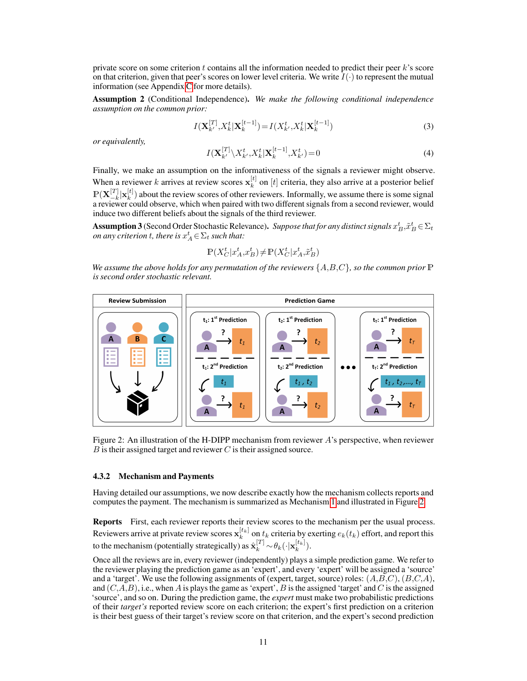private score on some criterion t contains all the information needed to predict their peer  $k$ 's score on that criterion, given that peer's scores on lower level criteria. We write  $I(\cdot)$  to represent the mutual information (see Appendix [C](#page-23-0) for more details).

<span id="page-10-1"></span>Assumption 2 (Conditional Independence). *We make the following conditional independence assumption on the common prior:*

$$
I(\mathbf{X}_{k'}^{[T]}, X_k^t | \mathbf{X}_k^{[t-1]}) = I(X_{k'}^t, X_k^t | \mathbf{X}_k^{[t-1]})
$$
\n(3)

*or equivalently,*

$$
I(\mathbf{X}_{k'}^{[T]}\backslash X_{k'}^t, X_k^t|\mathbf{X}_k^{[t-1]}, X_{k'}^t) = 0
$$
\n<sup>(4)</sup>

Finally, we make an assumption on the informativeness of the signals a reviewer might observe. When a reviewer k arrives at review scores  $\mathbf{x}_k^{[t]}$  $\kappa^{[t]}$  on [t] criteria, they also arrive at a posterior belief  $\mathbb{P}(\mathbf{X}^{[T]}_{-k}$  $\frac{[T]}{-k}|\mathbf{x}_k^{[t]}$  $\binom{[t]}{k}$  about the review scores of other reviewers. Informally, we assume there is some signal a reviewer could observe, which when paired with two different signals from a second reviewer, would induce two different beliefs about the signals of the third reviewer.

<span id="page-10-2"></span>**Assumption 3** (Second Order Stochastic Relevance). *Suppose that for any distinct signals*  $x_B^t$ ,  $\tilde{x}_B^t$   $\in$   $\Sigma_t$ *on any criterion t, there is*  $x_A^t \in \Sigma_t$  *such that:* 

$$
\mathbb{P}(X_C^t|x_A^t,x_B^t)\!\neq\!\mathbb{P}(X_C^t|x_A^t,\!\hat{x}_B^t)
$$

*We assume the above holds for any permutation of the reviewers* {A,B,C}*, so the common prior* P *is second order stochastic relevant.*



<span id="page-10-0"></span>Figure 2: An illustration of the H-DIPP mechanism from reviewer  $A$ 's perspective, when reviewer  $B$  is their assigned target and reviewer  $C$  is their assigned source.

#### 4.3.2 Mechanism and Payments

Having detailed our assumptions, we now describe exactly how the mechanism collects reports and computes the payment. The mechanism is summarized as Mechanism [1](#page-11-0) and illustrated in Figure [2.](#page-10-0)

**Reports** First, each reviewer reports their review scores to the mechanism per the usual process. Reviewers arrive at private review scores  $\mathbf{x}_k^{[t_k]}$  on  $t_k$  criteria by exerting  $e_k(t_k)$  effort, and report this to the mechanism (potentially strategically) as  $\hat{\mathbf{x}}_k^{[T]} \sim \theta_k(\cdot|\mathbf{x}_k^{[t_k]}).$ 

Once all the reviews are in, every reviewer (independently) plays a simple prediction game. We refer to the reviewer playing the prediction game as an 'expert', and every 'expert' will be assigned a 'source' and a 'target'. We use the following assignments of (expert, target, source) roles:  $(A,B,C)$ ,  $(B,C,A)$ , and  $(C, A, B)$ , i.e., when A is plays the game as 'expert', B is the assigned 'target' and C is the assigned 'source', and so on. During the prediction game, the *expert* must make two probabilistic predictions of their *target's* reported review score on each criterion; the expert's first prediction on a criterion is their best guess of their target's review score on that criterion, and the expert's second prediction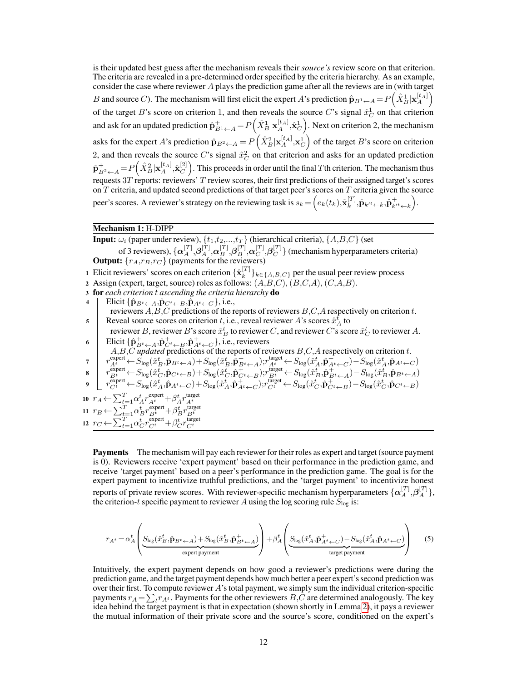is their updated best guess after the mechanism reveals their *source's* review score on that criterion. The criteria are revealed in a pre-determined order specified by the criteria hierarchy. As an example, consider the case where reviewer A plays the prediction game after all the reviews are in (with target B and source C). The mechanism will first elicit the expert A's prediction  $\hat{\mathbf{p}}_{B^1 \leftarrow A} = P\left(\hat{X}_B^1 | \mathbf{x}_A^{[t_A]}\right)$ of the target B's score on criterion 1, and then reveals the source C's signal  $\hat{x}^1_C$  on that criterion and ask for an updated prediction  $\hat{\bf p}^+_{B^1\leftarrow A}=P\Big(\hat X^1_B|{\bf x}^{[t_A]}_A,\hat {\bf x}^1_C\Big).$  Next on criterion 2, the mechanism asks for the expert A's prediction  $\hat{\bf p}_{B^2\leftarrow A}=P\left(\hat X_B^2|{\bf x}_A^{[t_A]},{\bf x}_C^1\right)$  of the target  $B$ 's score on criterion 2, and then reveals the source C's signal  $\hat{x}_C^2$  on that criterion and asks for an updated prediction  $\hat{\mathbf{p}}_{B^2 \leftarrow A}^{\dagger} = P\left(\hat{X}_B^2 | \mathbf{x}_A^{[t_A]}, \hat{\mathbf{x}}_C^{[2]} \right)$  $\left[\begin{smallmatrix} [2] \ C \end{smallmatrix}\right]$ . This proceeds in order until the final Tth criterion. The mechanism thus requests  $3T$  reports: reviewers'  $T$  review scores, their first predictions of their assigned target's scores on  $T$  criteria, and updated second predictions of that target peer's scores on  $T$  criteria given the source peer's scores. A reviewer's strategy on the reviewing task is  $s_k = \left(e_k(t_k), \hat{\mathbf{x}}_k^{[T]}\right)$  $_{k}^{[T]},\hat{\textbf{p}}_{k'^{t}\leftarrow k},\hat{\textbf{p}}_{k'^{t}\leftarrow k}^{+}\Big).$ 

### Mechanism 1: H-DIPP

**Input:**  $\omega_i$  (paper under review),  $\{t_1, t_2, ..., t_T\}$  (hierarchical criteria),  $\{A, B, C\}$  (set of 3 reviewers),  $\{\boldsymbol{\alpha}_A^{[T]},\boldsymbol{\beta}_A^{[T]},\boldsymbol{\alpha}_B^{[T]},\boldsymbol{\beta}_B^{[T]},\boldsymbol{\alpha}_C^{[T]} \}$  $_{C}^{[T]}\mathbf{,}\bm{\beta}_{C}^{[T]}$  $\{C}^{[T]}$ } (mechanism hyperparameters criteria) **Output:**  $\{r_A, r_B, r_C\}$  (payments for the reviewers) 1 Elicit reviewers' scores on each criterion  $\{\hat{\mathbf{x}}_k^{[T]} \}$  ${k}^{\lfloor t \rfloor}$   $_{k \in \{A, B, C\}}$  per the usual peer review process 2 Assign (expert, target, source) roles as follows:  $(A,B,C), (B,C,A), (C,A,B)$ . <sup>3</sup> for *each criterion* t *ascending the criteria hierarchy* do 4 Elicit  ${\hat{\mathbf{p}}_{B^t \leftarrow A}, \hat{\mathbf{p}}_{C^t \leftarrow B}, \hat{\mathbf{p}}_{A^t \leftarrow C}}$ , i.e., reviewers  $A, B, C$  predictions of the reports of reviewers  $B, C, A$  respectively on criterion t. 5 Reveal source scores on criterion t, i.e., reveal reviewer A's scores  $\hat{x}_A^{\bar{t}}$  to reviewer B, reviewer B's score  $\hat{x}^t_B$  to reviewer C, and reviewer C's score  $\hat{x}^t_C$  to reviewer A. 6 Elicit  $\{ \hat{\mathbf{p}}_{B^t \leftarrow A}^+, \hat{\mathbf{p}}_{C^t \leftarrow B}^+, \hat{\mathbf{p}}_{A^t \leftarrow C}^+, \text{ i.e., reviewers} \}$ A,B,C *updated* predictions of the reports of reviewers B,C,A respectively on criterion t.  $\tau = \frac{r_{A^t}^{\text{expert}} \leftarrow S_{\text{log}}(\hat{x}_B^t, \hat{\mathbf{p}}_{B^t \leftarrow A}) + S_{\text{log}}(\hat{x}_B^t, \hat{\mathbf{p}}_{B^t \leftarrow A}^+); r_{A^t}^{\text{target}} \leftarrow S_{\text{log}}(\hat{x}_A^t, \hat{\mathbf{p}}_{A^t \leftarrow C}^+)- S_{\text{log}}(\hat{x}_A^t, \hat{\mathbf{p}}_{A^t \leftarrow C})$  $\mathbf{B} = \begin{bmatrix} \mathbf{r}^{\text{expert}}_{B^t} \leftarrow S_{\text{log}}(\hat{x}^t_C, \hat{\mathbf{p}}_{C^t \leftarrow B}) + S_{\text{log}}(\hat{x}^t_C, \hat{\mathbf{p}}_{C^t \leftarrow B}^{\top}) ; r^{\text{target}}_{B^t} \leftarrow S_{\text{log}}(\hat{x}^t_B, \hat{\mathbf{p}}_{B^t \leftarrow A}^{\top}) - S_{\text{log}}(\hat{x}^t_B, \hat{\mathbf{p}}_{B^t \leftarrow A}) \right) \end{bmatrix}$  $\mathbf{P}_{C^t} = \begin{bmatrix} \mathbf{p}_C^{\text{expert}} \leftarrow S_{\text{log}}(\hat{x}_A^t, \hat{\mathbf{p}}_{A^t \leftarrow C}) + S_{\text{log}}(\hat{x}_A^t, \hat{\mathbf{p}}_{A^t \leftarrow C}^{\text{H}}), \mathbf{p}_{C^t}^{\text{target}} \leftarrow S_{\text{log}}(\hat{x}_C^t, \hat{\mathbf{p}}_{C^t \leftarrow B}^{\top}) - S_{\text{log}}(\hat{x}_C^t, \hat{\mathbf{p}}_{C^t \leftarrow B}) \right) \end{bmatrix}$ 10  $r_A \leftarrow \sum_{t=1}^T \alpha_A^t r_{A^t}^{\text{expert}} + \beta_A^t r_{A^t}^{\text{target}}$ 11  $r_B \leftarrow \sum_{t=1}^T \alpha_B^t r_{B^t}^{\text{expert}} + \beta_B^t r_{B^t}^{\text{target}}$ 12  $r_C \leftarrow \sum_{t=1}^T \alpha_C^t r_{C^t}^{\text{expert}} + \beta_C^t r_{C^t}^{\text{target}}$ 

<span id="page-11-0"></span>Payments The mechanism will pay each reviewer for their roles as expert and target (source payment is 0). Reviewers receive 'expert payment' based on their performance in the prediction game, and receive 'target payment' based on a peer's performance in the prediction game. The goal is for the expert payment to incentivize truthful predictions, and the 'target payment' to incentivize honest reports of private review scores. With reviewer-specific mechanism hyperparameters  $\{\alpha_A^{[T]}, \beta_A^{[T]}\},$ the criterion-t specific payment to reviewer A using the log scoring rule  $S_{\text{log}}$  is:

<span id="page-11-1"></span>
$$
r_{A^t} = \alpha_A^t \left( \underbrace{S_{\log}(\hat{x}_B^t, \hat{\mathbf{p}}_{B^t \leftarrow A}) + S_{\log}(\hat{x}_B^t, \hat{\mathbf{p}}_{B^t \leftarrow A})}_{\text{expert payment}} \right) + \beta_A^t \left( \underbrace{S_{\log}(\hat{x}_A^t, \hat{\mathbf{p}}_{A^t \leftarrow C}) - S_{\log}(\hat{x}_A^t, \hat{\mathbf{p}}_{A^t \leftarrow C})}_{\text{target payment}} \right) \right)
$$
(5)

Intuitively, the expert payment depends on how good a reviewer's predictions were during the prediction game, and the target payment depends how much better a peer expert's second prediction was over their first. To compute reviewer  $A$ 's total payment, we simply sum the individual criterion-specific payments  $r_A = \sum_t r_{A^t}$ . Payments for the other reviewers  $B, C$  are determined analogously. The key idea behind the target payment is that in expectation (shown shortly in Lemma [2\)](#page-13-0), it pays a reviewer the mutual information of their private score and the source's score, conditioned on the expert's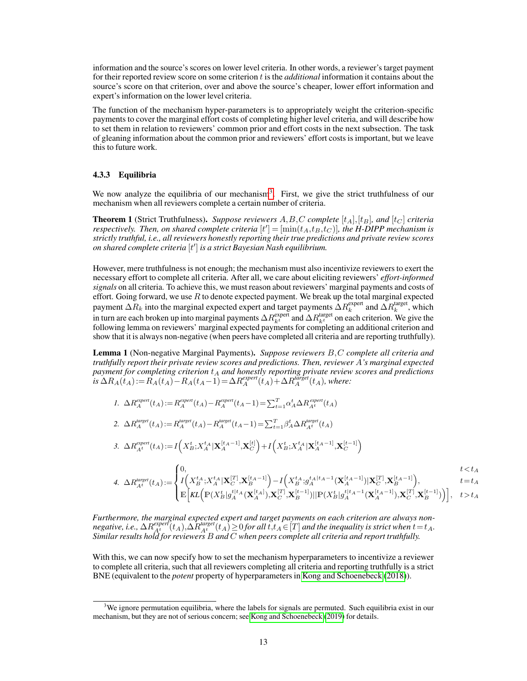information and the source's scores on lower level criteria. In other words, a reviewer's target payment for their reported review score on some criterion t is the *additional* information it contains about the source's score on that criterion, over and above the source's cheaper, lower effort information and expert's information on the lower level criteria.

The function of the mechanism hyper-parameters is to appropriately weight the criterion-specific payments to cover the marginal effort costs of completing higher level criteria, and will describe how to set them in relation to reviewers' common prior and effort costs in the next subsection. The task of gleaning information about the common prior and reviewers' effort costs is important, but we leave this to future work.

#### 4.3.3 Equilibria

We now analyze the equilibria of our mechanism<sup>[3](#page-12-0)</sup>. First, we give the strict truthfulness of our mechanism when all reviewers complete a certain number of criteria.

<span id="page-12-2"></span>**Theorem 1** (Strict Truthfulness). Suppose reviewers A, B, C complete  $[t_A], [t_B]$ , and  $[t_C]$  criteria *respectively. Then, on shared complete criteria*  $[t'] = [\min(t_A, t_B, t_C)]$ *, the H-DIPP mechanism is strictly truthful, i.e., all reviewers honestly reporting their true predictions and private review scores on shared complete criteria* [t 0 ] *is a strict Bayesian Nash equilibrium.*

However, mere truthfulness is not enough; the mechanism must also incentivize reviewers to exert the necessary effort to complete all criteria. After all, we care about eliciting reviewers' *effort-informed signals* on all criteria. To achieve this, we must reason about reviewers' marginal payments and costs of effort. Going forward, we use  $R$  to denote expected payment. We break up the total marginal expected payment  $\Delta R_k$  into the marginal expected expert and target payments  $\Delta R_k^{\text{expert}}$  and  $\Delta R_k^{\text{target}}$ , which in turn are each broken up into marginal payments  $\Delta R_{k}^{\text{expert}}$  and  $\Delta R_{k}^{\text{target}}$  on each criterion. We give the following lemma on reviewers' marginal expected payments for completing an additional criterion and show that it is always non-negative (when peers have completed all criteria and are reporting truthfully).

<span id="page-12-1"></span>Lemma 1 (Non-negative Marginal Payments). *Suppose reviewers* B,C *complete all criteria and truthfully report their private review scores and predictions. Then, reviewer* A*'s marginal expected payment for completing criterion* t<sup>A</sup> *and honestly reporting private review scores and predictions is*  $\Delta R_A(t_A) := R_A(t_A) - R_A(t_A - 1) = \Delta R_A^{expert}(t_A) + \Delta R_A^{target}(t_A)$ , where:

$$
I. \quad \Delta R_A^{expert}(t_A) := R_A^{expert}(t_A) - R_A^{expert}(t_A - 1) = \sum_{t=1}^T \alpha_A^t \Delta R_A^{expert}(t_A)
$$

2. 
$$
\Delta R_A^{\text{target}}(t_A) := R_A^{\text{target}}(t_A) - R_A^{\text{target}}(t_A - 1) = \sum_{t=1}^T \beta_A^t \Delta R_A^{\text{target}}(t_A)
$$

3. 
$$
\Delta R_{A^t}^{expert}(t_A) := I(X_B^t; X_A^{t_A} | \mathbf{X}_A^{[t_A-1]}, \mathbf{X}_C^{[t]}) + I(X_B^t; X_A^{t_A} | \mathbf{X}_A^{[t_A-1]}, \mathbf{X}_C^{[t-1]})
$$

$$
\textbf{4.}\quad\Delta R_{A^t}^{\textit{target}}(t_A) \!:=\! \begin{cases} 0, & t < t_A \\ I\!\left( X_B^{t_A}; X_A^{t_A}|\mathbf{X}_C^{[T]},\!\mathbf{X}_B^{[t_A-1]}\right) \!-\! I\!\left( X_B^{t_A}; g_A^{t_A|t_A-1}(\mathbf{X}_A^{[t_A-1]})|\mathbf{X}_C^{[T]},\!\mathbf{X}_B^{[t_A-1]}\right), & t = t_A \\ \mathbb{E}\!\left[ KL\!\left(\mathbb{P}(X_B^t|g_A^{t|t_A}(\mathbf{X}_A^{[t_A]}),\!\mathbf{X}_C^{[T]},\!\mathbf{X}_B^{[t-1]})||\mathbb{P}(X_B^t|g_A^{t|t_A-1}(\mathbf{X}_A^{[t_A-1]}),\!\mathbf{X}_C^{[T]},\!\mathbf{X}_B^{[t-1]})\right)\right], & t > t_A \end{cases}
$$

Furthermore, the marginal expected expert and target payments on each criterion are always non-  
negative, i.e., 
$$
\Delta R_{\star\star}^{exert}(t_A) \Delta R_{\star\star}^{ext}(t_A) > 0
$$
 for all  $t, t_A \in [T]$  and the inequality is strict when  $t = t_A$ .

*negative, i.e.,*  $\Delta R_{A^t}^{expert}(t_A)$ , $\Delta R_{A^t}^{target}(t_A)$   $\geq 0$  for all  $t,t_A \in [T]$  and the inequality is strict when  $t=t_A$ . *Similar results hold for reviewers* B *and* C *when peers complete all criteria and report truthfully.*

With this, we can now specify how to set the mechanism hyperparameters to incentivize a reviewer to complete all criteria, such that all reviewers completing all criteria and reporting truthfully is a strict BNE (equivalent to the *potent* property of hyperparameters in [Kong and Schoenebeck](#page-18-12) [\(2018\)](#page-18-12)).

<span id="page-12-0"></span> $3$ We ignore permutation equilibria, where the labels for signals are permuted. Such equilibria exist in our mechanism, but they are not of serious concern; see [Kong and Schoenebeck](#page-18-16) [\(2019\)](#page-18-16) for details.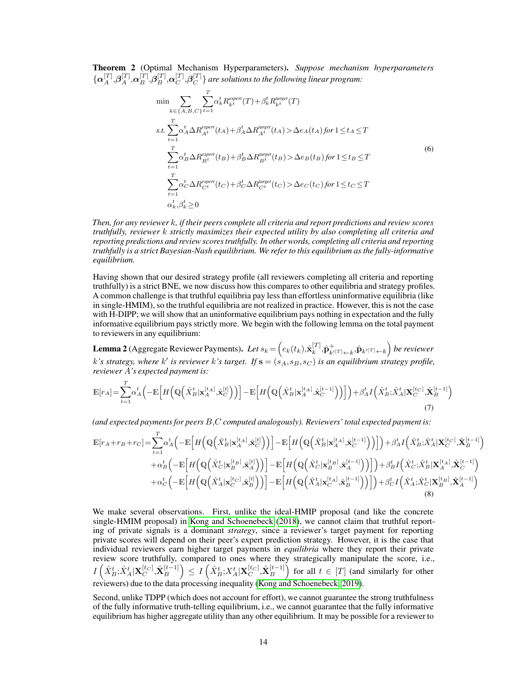<span id="page-13-1"></span>Theorem 2 (Optimal Mechanism Hyperparameters). *Suppose mechanism hyperparameters*  $\{\boldsymbol{\alpha}_A^{[T]},\boldsymbol{\beta}_A^{[T]},\boldsymbol{\alpha}_B^{[T]},\boldsymbol{\beta}_B^{[T]},\boldsymbol{\alpha}_C^{[T]}$  $_{C}^{[T]}\mathbf{,}\bm{\beta}_{C}^{[T]}$  $\{C^{[1]}\}$  are solutions to the following linear program:

$$
\min \sum_{k \in \{A, B, C\}} \sum_{t=1}^{T} \alpha_k^t R_{k}^{expert}(T) + \beta_k^t R_{k}^{target}(T)
$$
\n
$$
s.t. \sum_{t=1}^{T} \alpha_A^t \Delta R_{A}^{expert}(t_A) + \beta_A^t \Delta R_{A}^{target}(t_A) > \Delta e_A(t_A) \text{ for } 1 \le t_A \le T
$$
\n
$$
\sum_{t=1}^{T} \alpha_B^t \Delta R_{B}^{expert}(t_B) + \beta_B^t \Delta R_{B}^{target}(t_B) > \Delta e_B(t_B) \text{ for } 1 \le t_B \le T
$$
\n
$$
\sum_{t=1}^{T} \alpha_C^t \Delta R_{C^t}^{expert}(t_C) + \beta_C^t \Delta R_{C^t}^{target}(t_C) > \Delta e_C(t_C) \text{ for } 1 \le t_C \le T
$$
\n
$$
\alpha_k^t, \beta_k^t \ge 0
$$
\n(6)

*Then, for any reviewer* k*, if their peers complete all criteria and report predictions and review scores truthfully, reviewer* k *strictly maximizes their expected utility by also completing all criteria and reporting predictions and review scores truthfully. In other words, completing all criteria and reporting truthfully is a strict Bayesian-Nash equilibrium. We refer to this equilibrium as the fully-informative equilibrium.*

Having shown that our desired strategy profile (all reviewers completing all criteria and reporting truthfully) is a strict BNE, we now discuss how this compares to other equilibria and strategy profiles. A common challenge is that truthful equilibria pay less than effortless uninformative equilibria (like in single-HMIM), so the truthful equilibria are not realized in practice. However, this is not the case with H-DIPP; we will show that an uninformative equilibrium pays nothing in expectation and the fully informative equilibrium pays strictly more. We begin with the following lemma on the total payment to reviewers in any equilibrium:

<span id="page-13-0"></span>**Lemma 2** (Aggregate Reviewer Payments). Let  $s_k = \left(e_k(t_k), \hat{\mathbf{x}}_k^{[T]}\right)$  $_{k}^{[T]},\!\hat{\mathbf{p}}_{k^{\prime}[T]\leftarrow k}^{+},\!\hat{\mathbf{p}}_{k^{\prime}[T]\leftarrow k}\Big)$  be reviewer k's strategy, where  $k'$  is reviewer  $k$ 's target. If  $\mathbf{s} = (s_A, s_B, s_C)$  is an equilibrium strategy profile, *reviewer* A*'s expected payment is:*

$$
\mathbb{E}[r_A] = \sum_{t=1}^T \alpha_A^t \left( - \mathbb{E} \left[ H \left( \mathbb{Q} \left( \hat{X}_B^t | \mathbf{x}_A^{[t_A]}, \hat{\mathbf{x}}_C^{[t]} \right) \right) \right] - \mathbb{E} \left[ H \left( \mathbb{Q} \left( \hat{X}_B^t | \mathbf{x}_A^{[t_A]}, \hat{\mathbf{x}}_C^{[t-1]} \right) \right) \right] \right) + \beta_A^t I \left( \hat{X}_B^t; \hat{X}_A^t | \mathbf{X}_C^{[t_C]}, \hat{\mathbf{X}}_B^{[t-1]} \right) \tag{7}
$$

*(and expected payments for peers* B,C *computed analogously). Reviewers' total expected payment is:*

$$
\mathbb{E}[r_A + r_B + r_C] = \sum_{t=1}^T \alpha_A^t \left( -\mathbb{E}\Big[H\Big(\mathbb{Q}\Big(\hat{X}_B^t | \mathbf{x}_A^{[t_A]}, \hat{\mathbf{x}}_C^{[t]}\Big)\Big)\Big] - \mathbb{E}\Big[H\Big(\mathbb{Q}\Big(\hat{X}_B^t | \mathbf{x}_A^{[t_A]}, \hat{\mathbf{x}}_C^{[t-1]}\Big)\Big)\Big]\right) + \beta_A^t I\Big(\hat{X}_B^t; \hat{X}_A^t | \mathbf{X}_C^{[t_C]}, \hat{\mathbf{X}}_B^{[t-1]}\Big) \\
+ \alpha_B^t \left( -\mathbb{E}\Big[H\Big(\mathbb{Q}\Big(\hat{X}_C^t | \mathbf{x}_B^{[t_B]}, \hat{\mathbf{x}}_A^{[t]}\Big)\Big)\Big] - \mathbb{E}\Big[H\Big(\mathbb{Q}\Big(\hat{X}_C^t | \mathbf{x}_B^{[t_B]}, \hat{\mathbf{x}}_A^{[t-1]}\Big)\Big)\Big]\right) + \beta_B^t I\Big(\hat{X}_C^t; \hat{X}_B^t | \mathbf{X}_A^{[t_A]}, \hat{\mathbf{x}}_C^{[t-1]}\Big) \\
+ \alpha_C^t \left( -\mathbb{E}\Big[H\Big(\mathbb{Q}\Big(\hat{X}_A^t | \mathbf{x}_C^{[t_C]}, \hat{\mathbf{x}}_B^{[t]}\Big)\Big)\Big] - \mathbb{E}\Big[H\Big(\mathbb{Q}\Big(\hat{X}_A^t | \mathbf{x}_C^{[t_A]}, \hat{\mathbf{x}}_B^{[t-1]}\Big)\Big)\Big]\right) + \beta_C^t I\Big(\hat{X}_A^t; \hat{X}_C^t | \mathbf{X}_B^{[t_B]}, \hat{\mathbf{X}}_A^{[t-1]}\Big) \\
+ \alpha_C^t \left( -\mathbb{E}\Big[H\Big(\mathbb{Q}\Big(\hat{X}_A^t | \mathbf{x}_C^{[t_C]}, \hat{\mathbf{x}}_B^{[t]}\Big)\Big)\Big] - \mathbb{E}\Big[H\Big(\mathbb{Q}\Big(\hat{X}_A^t | \mathbf{x}_C^{[t_A]}, \hat{\mathbf{x}}_B^{[t-1]}\Big)\Big)\Big]\right) + \beta_C^t I\Big(\hat{X}_A^t; \hat{X}_C^t | \mathbf{X}_B^{[t_B]}, \hat{\mathbf
$$

We make several observations. First, unlike the ideal-HMIP proposal (and like the concrete single-HMIM proposal) in [Kong and Schoenebeck](#page-18-12) [\(2018\)](#page-18-12), we cannot claim that truthful reporting of private signals is a dominant *strategy*, since a reviewer's target payment for reporting private scores will depend on their peer's expert prediction strategy. However, it is the case that individual reviewers earn higher target payments in *equilibria* where they report their private review score truthfully, compared to ones where they strategically manipulate the score, i.e.,  $I\left(\hat{X}_{B}^{t};\hat{X}_{A}^{t}|\mathbf{X}_{C}^{[t_C]},\hat{\mathbf{X}}_{B}^{[t-1]}\right)$  $\left[\begin{matrix} \hat{I}^{t-1} \end{matrix} \right] \leq I \left(\hat{X}_B^t; X_A^t | \mathbf{X}_C^{[t_C]}, \hat{\mathbf{X}}_B^{[t-1]}\right)$  $\begin{bmatrix} [t-1] \\ B \end{bmatrix}$  for all  $t \in [T]$  (and similarly for other reviewers) due to the data processing inequality [\(Kong and Schoenebeck, 2019\)](#page-18-16).

Second, unlike TDPP (which does not account for effort), we cannot guarantee the strong truthfulness of the fully informative truth-telling equilibrium, i.e., we cannot guarantee that the fully informative equilibrium has higher aggregate utility than any other equilibrium. It may be possible for a reviewer to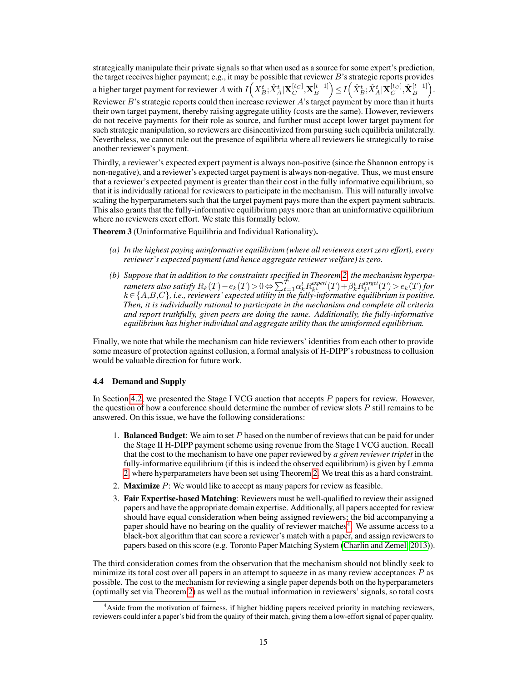strategically manipulate their private signals so that when used as a source for some expert's prediction, the target receives higher payment; e.g., it may be possible that reviewer B's strategic reports provides a higher target payment for reviewer  $A$  with  $I\left( X_B^t; \hat{X}_A^t | \mathbf{X}_C^{[t_C]}, \mathbf{X}_B^{[t-1]} \right)$  $\left[\begin{matrix} \boldsymbol{t}-1 \end{matrix} \right] \leq I \left(\hat{X}_{B}^{t}; \hat{X}_{A}^{t} | \mathbf{X}_{C}^{[t_C]}, \hat{\mathbf{X}}_{B}^{[t-1]}\right)$  $\left[\begin{matrix}t-1\\B\end{matrix}\right]$ . Reviewer B's strategic reports could then increase reviewer A's target payment by more than it hurts their own target payment, thereby raising aggregate utility (costs are the same). However, reviewers do not receive payments for their role as source, and further must accept lower target payment for such strategic manipulation, so reviewers are disincentivized from pursuing such equilibria unilaterally. Nevertheless, we cannot rule out the presence of equilibria where all reviewers lie strategically to raise another reviewer's payment.

Thirdly, a reviewer's expected expert payment is always non-positive (since the Shannon entropy is non-negative), and a reviewer's expected target payment is always non-negative. Thus, we must ensure that a reviewer's expected payment is greater than their cost in the fully informative equilibrium, so that it is individually rational for reviewers to participate in the mechanism. This will naturally involve scaling the hyperparameters such that the target payment pays more than the expert payment subtracts. This also grants that the fully-informative equilibrium pays more than an uninformative equilibrium where no reviewers exert effort. We state this formally below.

<span id="page-14-2"></span>Theorem 3 (Uninformative Equilibria and Individual Rationality).

- *(a) In the highest paying uninformative equilibrium (where all reviewers exert zero effort), every reviewer's expected payment (and hence aggregate reviewer welfare) is zero.*
- *(b) Suppose that in addition to the constraints specified in Theorem [2,](#page-13-1) the mechanism hyperpa-* $\textit{rameters also satisfy} \ R_k(T) - e_k(T) > 0 \Leftrightarrow \sum_{t=1}^T \alpha_k^t R_{k^t}^\textit{expert}(T) + \beta_k^t R_{k^t}^\textit{target}(T) > e_k(T) \textit{ for }$ k∈ {A,B,C}*, i.e., reviewers' expected utility in the fully-informative equilibrium is positive. Then, it is individually rational to participate in the mechanism and complete all criteria and report truthfully, given peers are doing the same. Additionally, the fully-informative equilibrium has higher individual and aggregate utility than the uninformed equilibrium.*

Finally, we note that while the mechanism can hide reviewers' identities from each other to provide some measure of protection against collusion, a formal analysis of H-DIPP's robustness to collusion would be valuable direction for future work.

#### <span id="page-14-0"></span>4.4 Demand and Supply

In Section [4.2,](#page-7-0) we presented the Stage I VCG auction that accepts  $P$  papers for review. However, the question of how a conference should determine the number of review slots  $P$  still remains to be answered. On this issue, we have the following considerations:

- 1. **Balanced Budget**: We aim to set  $P$  based on the number of reviews that can be paid for under the Stage II H-DIPP payment scheme using revenue from the Stage I VCG auction. Recall that the cost to the mechanism to have one paper reviewed by *a given reviewer triplet* in the fully-informative equilibrium (if this is indeed the observed equilibrium) is given by Lemma [2,](#page-13-0) where hyperparameters have been set using Theorem [2.](#page-13-1) We treat this as a hard constraint.
- 2. **Maximize**  $P$ : We would like to accept as many papers for review as feasible.
- 3. Fair Expertise-based Matching: Reviewers must be well-qualified to review their assigned papers and have the appropriate domain expertise. Additionally, all papers accepted for review should have equal consideration when being assigned reviewers; the bid accompanying a paper should have no bearing on the quality of reviewer matches<sup>[4](#page-14-1)</sup>. We assume access to a black-box algorithm that can score a reviewer's match with a paper, and assign reviewers to papers based on this score (e.g. Toronto Paper Matching System [\(Charlin and Zemel, 2013\)](#page-18-17)).

The third consideration comes from the observation that the mechanism should not blindly seek to minimize its total cost over all papers in an attempt to squeeze in as many review acceptances  *as* possible. The cost to the mechanism for reviewing a single paper depends both on the hyperparameters (optimally set via Theorem [2\)](#page-13-1) as well as the mutual information in reviewers' signals, so total costs

<span id="page-14-1"></span><sup>&</sup>lt;sup>4</sup>Aside from the motivation of fairness, if higher bidding papers received priority in matching reviewers, reviewers could infer a paper's bid from the quality of their match, giving them a low-effort signal of paper quality.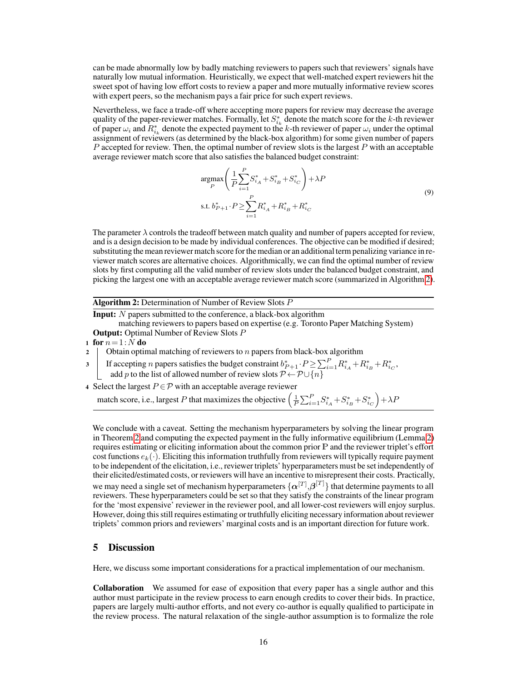can be made abnormally low by badly matching reviewers to papers such that reviewers' signals have naturally low mutual information. Heuristically, we expect that well-matched expert reviewers hit the sweet spot of having low effort costs to review a paper and more mutually informative review scores with expert peers, so the mechanism pays a fair price for such expert reviews.

Nevertheless, we face a trade-off where accepting more papers for review may decrease the average quality of the paper-reviewer matches. Formally, let  $S_{i_k}^*$  denote the match score for the k-th reviewer of paper  $\omega_i$  and  $\hat{R}^*_{i_k}$  denote the expected payment to the k-th reviewer of paper  $\omega_i$  under the optimal assignment of reviewers (as determined by the black-box algorithm) for some given number of papers P accepted for review. Then, the optimal number of review slots is the largest P with an acceptable average reviewer match score that also satisfies the balanced budget constraint:

<span id="page-15-1"></span>
$$
\underset{P}{\text{argmax}} \left( \frac{1}{P} \sum_{i=1}^{P} S_{i_A}^* + S_{i_B}^* + S_{i_C}^* \right) + \lambda P
$$
\n
$$
\text{s.t. } b_{P+1}^* \cdot P \ge \sum_{i=1}^{P} R_{i_A}^* + R_{i_B}^* + R_{i_C}^* \tag{9}
$$

The parameter  $\lambda$  controls the tradeoff between match quality and number of papers accepted for review, and is a design decision to be made by individual conferences. The objective can be modified if desired; substituting the mean reviewer match score for the median or an additional term penalizing variance in reviewer match scores are alternative choices. Algorithmically, we can find the optimal number of review slots by first computing all the valid number of review slots under the balanced budget constraint, and picking the largest one with an acceptable average reviewer match score (summarized in Algorithm [2\)](#page-15-1).

Algorithm 2: Determination of Number of Review Slots P

Input: N papers submitted to the conference, a black-box algorithm

matching reviewers to papers based on expertise (e.g. Toronto Paper Matching System) **Output:** Optimal Number of Review Slots P

1 for  $n = 1:N$  do

- 2  $\Box$  Obtain optimal matching of reviewers to *n* papers from black-box algorithm
- 3 If accepting *n* papers satisfies the budget constraint  $b_{P+1}^*P \ge \sum_{i=1}^P R_{i_A}^* + R_{i_B}^* + R_{i_C}^*$ ,
	- add p to the list of allowed number of review slots  $P \leftarrow \mathcal{P} \cup \{n\}$
- 4 Select the largest  $P \in \mathcal{P}$  with an acceptable average reviewer

match score, i.e., largest  $P$  that maximizes the objective  $\left(\frac{1}{P}\sum_{i=1}^P S^*_{i_A}+S^*_{i_B}+S^*_{i_C}\right)+\lambda P$ 

We conclude with a caveat. Setting the mechanism hyperparameters by solving the linear program in Theorem [2](#page-13-1) and computing the expected payment in the fully informative equilibrium (Lemma [2\)](#page-13-0) requires estimating or eliciting information about the common prior P and the reviewer triplet's effort cost functions  $e_k(\cdot)$ . Eliciting this information truthfully from reviewers will typically require payment to be independent of the elicitation, i.e., reviewer triplets' hyperparameters must be set independently of their elicited/estimated costs, or reviewers will have an incentive to misrepresent their costs. Practically, we may need a single set of mechanism hyperparameters  $\{\boldsymbol{\alpha}^{[T]},\!\boldsymbol{\beta}^{[T]}\}$  that determine payments to all reviewers. These hyperparameters could be set so that they satisfy the constraints of the linear program for the 'most expensive' reviewer in the reviewer pool, and all lower-cost reviewers will enjoy surplus. However, doing this still requires estimating or truthfully eliciting necessary information about reviewer triplets' common priors and reviewers' marginal costs and is an important direction for future work.

## <span id="page-15-0"></span>5 Discussion

Here, we discuss some important considerations for a practical implementation of our mechanism.

Collaboration We assumed for ease of exposition that every paper has a single author and this author must participate in the review process to earn enough credits to cover their bids. In practice, papers are largely multi-author efforts, and not every co-author is equally qualified to participate in the review process. The natural relaxation of the single-author assumption is to formalize the role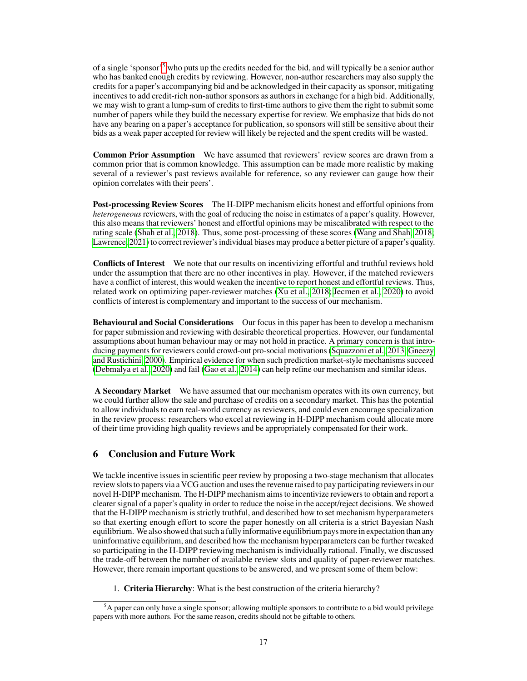of a single 'sponsor'[5](#page-16-0) who puts up the credits needed for the bid, and will typically be a senior author who has banked enough credits by reviewing. However, non-author researchers may also supply the credits for a paper's accompanying bid and be acknowledged in their capacity as sponsor, mitigating incentives to add credit-rich non-author sponsors as authors in exchange for a high bid. Additionally, we may wish to grant a lump-sum of credits to first-time authors to give them the right to submit some number of papers while they build the necessary expertise for review. We emphasize that bids do not have any bearing on a paper's acceptance for publication, so sponsors will still be sensitive about their bids as a weak paper accepted for review will likely be rejected and the spent credits will be wasted.

Common Prior Assumption We have assumed that reviewers' review scores are drawn from a common prior that is common knowledge. This assumption can be made more realistic by making several of a reviewer's past reviews available for reference, so any reviewer can gauge how their opinion correlates with their peers'.

Post-processing Review Scores The H-DIPP mechanism elicits honest and effortful opinions from *heterogeneous* reviewers, with the goal of reducing the noise in estimates of a paper's quality. However, this also means that reviewers' honest and effortful opinions may be miscalibrated with respect to the rating scale [\(Shah et al., 2018\)](#page-19-1). Thus, some post-processing of these scores [\(Wang and Shah, 2018;](#page-20-7) [Lawrence, 2021\)](#page-18-0) to correct reviewer's individual biases may produce a better picture of a paper's quality.

Conflicts of Interest We note that our results on incentivizing effortful and truthful reviews hold under the assumption that there are no other incentives in play. However, if the matched reviewers have a conflict of interest, this would weaken the incentive to report honest and effortful reviews. Thus, related work on optimizing paper-reviewer matches [\(Xu et al., 2018;](#page-20-1) [Jecmen et al., 2020\)](#page-18-3) to avoid conflicts of interest is complementary and important to the success of our mechanism.

Behavioural and Social Considerations Our focus in this paper has been to develop a mechanism for paper submission and reviewing with desirable theoretical properties. However, our fundamental assumptions about human behaviour may or may not hold in practice. A primary concern is that introducing payments for reviewers could crowd-out pro-social motivations [\(Squazzoni et al., 2013;](#page-19-22) [Gneezy](#page-18-18) [and Rustichini, 2000\)](#page-18-18). Empirical evidence for when such prediction market-style mechanisms succeed [\(Debmalya et al., 2020\)](#page-18-19) and fail [\(Gao et al., 2014\)](#page-18-15) can help refine our mechanism and similar ideas.

A Secondary Market We have assumed that our mechanism operates with its own currency, but we could further allow the sale and purchase of credits on a secondary market. This has the potential to allow individuals to earn real-world currency as reviewers, and could even encourage specialization in the review process: researchers who excel at reviewing in H-DIPP mechanism could allocate more of their time providing high quality reviews and be appropriately compensated for their work.

# 6 Conclusion and Future Work

We tackle incentive issues in scientific peer review by proposing a two-stage mechanism that allocates review slots to papers via a VCG auction and uses the revenue raised to pay participating reviewers in our novel H-DIPP mechanism. The H-DIPP mechanism aims to incentivize reviewers to obtain and report a clearer signal of a paper's quality in order to reduce the noise in the accept/reject decisions. We showed that the H-DIPP mechanism is strictly truthful, and described how to set mechanism hyperparameters so that exerting enough effort to score the paper honestly on all criteria is a strict Bayesian Nash equilibrium. We also showed that such a fully informative equilibrium pays more in expectation than any uninformative equilibrium, and described how the mechanism hyperparameters can be further tweaked so participating in the H-DIPP reviewing mechanism is individually rational. Finally, we discussed the trade-off between the number of available review slots and quality of paper-reviewer matches. However, there remain important questions to be answered, and we present some of them below:

1. Criteria Hierarchy: What is the best construction of the criteria hierarchy?

<span id="page-16-0"></span> ${}^5A$  paper can only have a single sponsor; allowing multiple sponsors to contribute to a bid would privilege papers with more authors. For the same reason, credits should not be giftable to others.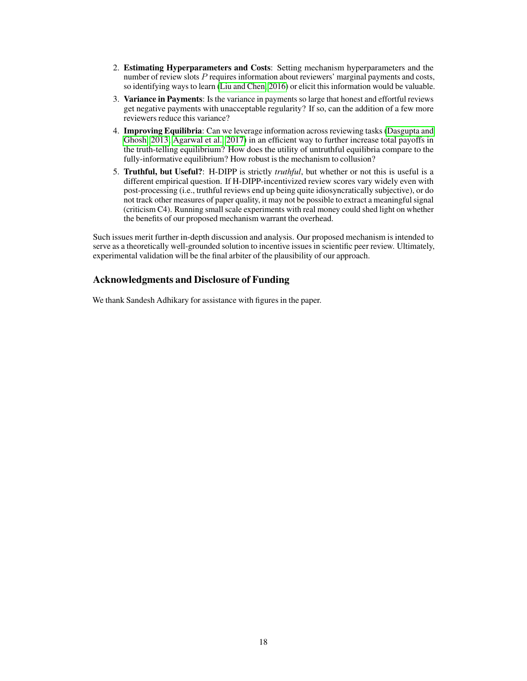- 2. Estimating Hyperparameters and Costs: Setting mechanism hyperparameters and the number of review slots  $P$  requires information about reviewers' marginal payments and costs, so identifying ways to learn [\(Liu and Chen, 2016\)](#page-19-21) or elicit this information would be valuable.
- 3. Variance in Payments: Is the variance in payments so large that honest and effortful reviews get negative payments with unacceptable regularity? If so, can the addition of a few more reviewers reduce this variance?
- 4. Improving Equilibria: Can we leverage information across reviewing tasks [\(Dasgupta and](#page-18-11) [Ghosh, 2013;](#page-18-11) [Agarwal et al., 2017\)](#page-18-20) in an efficient way to further increase total payoffs in the truth-telling equilibrium? How does the utility of untruthful equilibria compare to the fully-informative equilibrium? How robust is the mechanism to collusion?
- 5. Truthful, but Useful?: H-DIPP is strictly *truthful*, but whether or not this is useful is a different empirical question. If H-DIPP-incentivized review scores vary widely even with post-processing (i.e., truthful reviews end up being quite idiosyncratically subjective), or do not track other measures of paper quality, it may not be possible to extract a meaningful signal (criticism C4). Running small scale experiments with real money could shed light on whether the benefits of our proposed mechanism warrant the overhead.

Such issues merit further in-depth discussion and analysis. Our proposed mechanism is intended to serve as a theoretically well-grounded solution to incentive issues in scientific peer review. Ultimately, experimental validation will be the final arbiter of the plausibility of our approach.

# Acknowledgments and Disclosure of Funding

We thank Sandesh Adhikary for assistance with figures in the paper.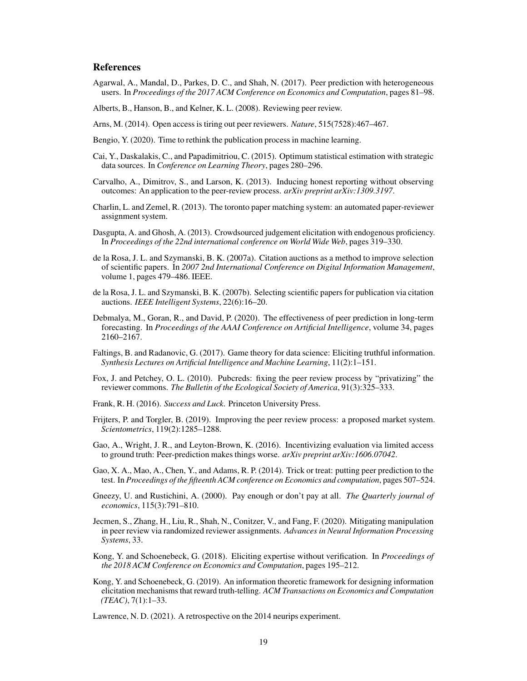## **References**

- <span id="page-18-20"></span>Agarwal, A., Mandal, D., Parkes, D. C., and Shah, N. (2017). Peer prediction with heterogeneous users. In *Proceedings of the 2017 ACM Conference on Economics and Computation*, pages 81–98.
- <span id="page-18-4"></span>Alberts, B., Hanson, B., and Kelner, K. L. (2008). Reviewing peer review.
- <span id="page-18-5"></span>Arns, M. (2014). Open access is tiring out peer reviewers. *Nature*, 515(7528):467–467.
- <span id="page-18-1"></span>Bengio, Y. (2020). Time to rethink the publication process in machine learning.
- <span id="page-18-10"></span>Cai, Y., Daskalakis, C., and Papadimitriou, C. (2015). Optimum statistical estimation with strategic data sources. In *Conference on Learning Theory*, pages 280–296.
- <span id="page-18-13"></span>Carvalho, A., Dimitrov, S., and Larson, K. (2013). Inducing honest reporting without observing outcomes: An application to the peer-review process. *arXiv preprint arXiv:1309.3197*.
- <span id="page-18-17"></span>Charlin, L. and Zemel, R. (2013). The toronto paper matching system: an automated paper-reviewer assignment system.
- <span id="page-18-11"></span>Dasgupta, A. and Ghosh, A. (2013). Crowdsourced judgement elicitation with endogenous proficiency. In *Proceedings of the 22nd international conference on World Wide Web*, pages 319–330.
- <span id="page-18-8"></span>de la Rosa, J. L. and Szymanski, B. K. (2007a). Citation auctions as a method to improve selection of scientific papers. In *2007 2nd International Conference on Digital Information Management*, volume 1, pages 479–486. IEEE.
- <span id="page-18-7"></span>de la Rosa, J. L. and Szymanski, B. K. (2007b). Selecting scientific papers for publication via citation auctions. *IEEE Intelligent Systems*, 22(6):16–20.
- <span id="page-18-19"></span>Debmalya, M., Goran, R., and David, P. (2020). The effectiveness of peer prediction in long-term forecasting. In *Proceedings of the AAAI Conference on Artificial Intelligence*, volume 34, pages 2160–2167.
- <span id="page-18-2"></span>Faltings, B. and Radanovic, G. (2017). Game theory for data science: Eliciting truthful information. *Synthesis Lectures on Artificial Intelligence and Machine Learning*, 11(2):1–151.
- <span id="page-18-6"></span>Fox, J. and Petchey, O. L. (2010). Pubcreds: fixing the peer review process by "privatizing" the reviewer commons. *The Bulletin of the Ecological Society of America*, 91(3):325–333.
- <span id="page-18-21"></span>Frank, R. H. (2016). *Success and Luck*. Princeton University Press.
- <span id="page-18-9"></span>Frijters, P. and Torgler, B. (2019). Improving the peer review process: a proposed market system. *Scientometrics*, 119(2):1285–1288.
- <span id="page-18-14"></span>Gao, A., Wright, J. R., and Leyton-Brown, K. (2016). Incentivizing evaluation via limited access to ground truth: Peer-prediction makes things worse. *arXiv preprint arXiv:1606.07042*.
- <span id="page-18-15"></span>Gao, X. A., Mao, A., Chen, Y., and Adams, R. P. (2014). Trick or treat: putting peer prediction to the test. In *Proceedings of the fifteenth ACM conference on Economics and computation*, pages 507–524.
- <span id="page-18-18"></span>Gneezy, U. and Rustichini, A. (2000). Pay enough or don't pay at all. *The Quarterly journal of economics*, 115(3):791–810.
- <span id="page-18-3"></span>Jecmen, S., Zhang, H., Liu, R., Shah, N., Conitzer, V., and Fang, F. (2020). Mitigating manipulation in peer review via randomized reviewer assignments. *Advances in Neural Information Processing Systems*, 33.
- <span id="page-18-12"></span>Kong, Y. and Schoenebeck, G. (2018). Eliciting expertise without verification. In *Proceedings of the 2018 ACM Conference on Economics and Computation*, pages 195–212.
- <span id="page-18-16"></span>Kong, Y. and Schoenebeck, G. (2019). An information theoretic framework for designing information elicitation mechanisms that reward truth-telling. *ACM Transactions on Economics and Computation (TEAC)*, 7(1):1–33.
- <span id="page-18-0"></span>Lawrence, N. D. (2021). A retrospective on the 2014 neurips experiment.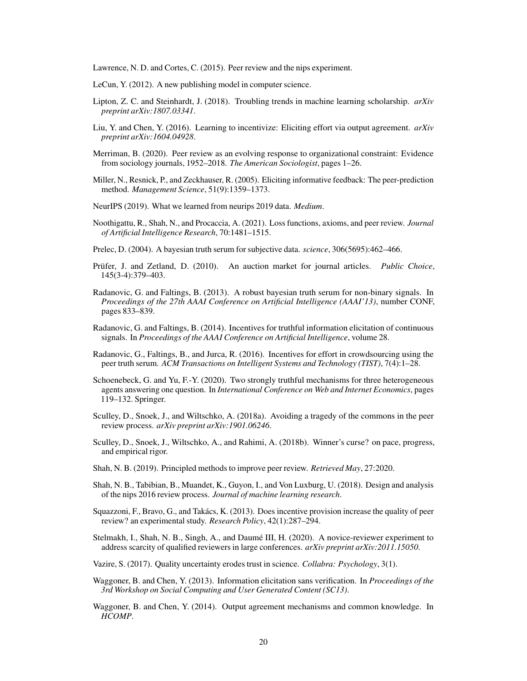<span id="page-19-0"></span>Lawrence, N. D. and Cortes, C. (2015). Peer review and the nips experiment.

- <span id="page-19-10"></span>LeCun, Y. (2012). A new publishing model in computer science.
- <span id="page-19-7"></span>Lipton, Z. C. and Steinhardt, J. (2018). Troubling trends in machine learning scholarship. *arXiv preprint arXiv:1807.03341*.
- <span id="page-19-21"></span>Liu, Y. and Chen, Y. (2016). Learning to incentivize: Eliciting effort via output agreement. *arXiv preprint arXiv:1604.04928*.
- <span id="page-19-2"></span>Merriman, B. (2020). Peer review as an evolving response to organizational constraint: Evidence from sociology journals, 1952–2018. *The American Sociologist*, pages 1–26.
- <span id="page-19-15"></span>Miller, N., Resnick, P., and Zeckhauser, R. (2005). Eliciting informative feedback: The peer-prediction method. *Management Science*, 51(9):1359–1373.
- <span id="page-19-6"></span>NeurIPS (2019). What we learned from neurips 2019 data. *Medium*.
- <span id="page-19-11"></span>Noothigattu, R., Shah, N., and Procaccia, A. (2021). Loss functions, axioms, and peer review. *Journal of Artificial Intelligence Research*, 70:1481–1515.
- <span id="page-19-16"></span>Prelec, D. (2004). A bayesian truth serum for subjective data. *science*, 306(5695):462–466.
- <span id="page-19-13"></span>Prüfer, J. and Zetland, D. (2010). An auction market for journal articles. *Public Choice*, 145(3-4):379–403.
- <span id="page-19-17"></span>Radanovic, G. and Faltings, B. (2013). A robust bayesian truth serum for non-binary signals. In *Proceedings of the 27th AAAI Conference on Artificial Intelligence (AAAI'13)*, number CONF, pages 833–839.
- <span id="page-19-18"></span>Radanovic, G. and Faltings, B. (2014). Incentives for truthful information elicitation of continuous signals. In *Proceedings of the AAAI Conference on Artificial Intelligence*, volume 28.
- <span id="page-19-14"></span>Radanovic, G., Faltings, B., and Jurca, R. (2016). Incentives for effort in crowdsourcing using the peer truth serum. *ACM Transactions on Intelligent Systems and Technology (TIST)*, 7(4):1–28.
- <span id="page-19-20"></span>Schoenebeck, G. and Yu, F.-Y. (2020). Two strongly truthful mechanisms for three heterogeneous agents answering one question. In *International Conference on Web and Internet Economics*, pages 119–132. Springer.
- <span id="page-19-12"></span>Sculley, D., Snoek, J., and Wiltschko, A. (2018a). Avoiding a tragedy of the commons in the peer review process. *arXiv preprint arXiv:1901.06246*.
- <span id="page-19-3"></span>Sculley, D., Snoek, J., Wiltschko, A., and Rahimi, A. (2018b). Winner's curse? on pace, progress, and empirical rigor.
- <span id="page-19-4"></span>Shah, N. B. (2019). Principled methods to improve peer review. *Retrieved May*, 27:2020.
- <span id="page-19-1"></span>Shah, N. B., Tabibian, B., Muandet, K., Guyon, I., and Von Luxburg, U. (2018). Design and analysis of the nips 2016 review process. *Journal of machine learning research*.
- <span id="page-19-22"></span>Squazzoni, F., Bravo, G., and Takács, K. (2013). Does incentive provision increase the quality of peer review? an experimental study. *Research Policy*, 42(1):287–294.
- <span id="page-19-5"></span>Stelmakh, I., Shah, N. B., Singh, A., and Daumé III, H. (2020). A novice-reviewer experiment to address scarcity of qualified reviewers in large conferences. *arXiv preprint arXiv:2011.15050*.
- <span id="page-19-8"></span>Vazire, S. (2017). Quality uncertainty erodes trust in science. *Collabra: Psychology*, 3(1).
- <span id="page-19-9"></span>Waggoner, B. and Chen, Y. (2013). Information elicitation sans verification. In *Proceedings of the 3rd Workshop on Social Computing and User Generated Content (SC13)*.
- <span id="page-19-19"></span>Waggoner, B. and Chen, Y. (2014). Output agreement mechanisms and common knowledge. In *HCOMP*.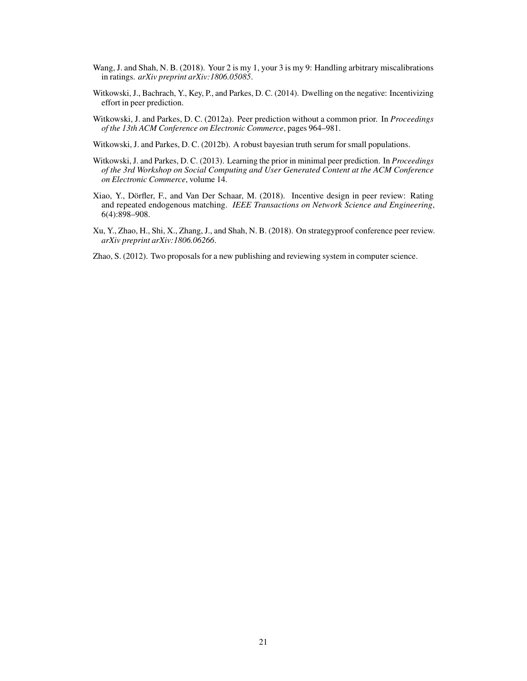- <span id="page-20-7"></span>Wang, J. and Shah, N. B. (2018). Your 2 is my 1, your 3 is my 9: Handling arbitrary miscalibrations in ratings. *arXiv preprint arXiv:1806.05085*.
- <span id="page-20-6"></span>Witkowski, J., Bachrach, Y., Key, P., and Parkes, D. C. (2014). Dwelling on the negative: Incentivizing effort in peer prediction.
- <span id="page-20-3"></span>Witkowski, J. and Parkes, D. C. (2012a). Peer prediction without a common prior. In *Proceedings of the 13th ACM Conference on Electronic Commerce*, pages 964–981.
- <span id="page-20-5"></span>Witkowski, J. and Parkes, D. C. (2012b). A robust bayesian truth serum for small populations.
- <span id="page-20-4"></span>Witkowski, J. and Parkes, D. C. (2013). Learning the prior in minimal peer prediction. In *Proceedings of the 3rd Workshop on Social Computing and User Generated Content at the ACM Conference on Electronic Commerce*, volume 14.
- <span id="page-20-2"></span>Xiao, Y., Dörfler, F., and Van Der Schaar, M. (2018). Incentive design in peer review: Rating and repeated endogenous matching. *IEEE Transactions on Network Science and Engineering*, 6(4):898–908.
- <span id="page-20-1"></span>Xu, Y., Zhao, H., Shi, X., Zhang, J., and Shah, N. B. (2018). On strategyproof conference peer review. *arXiv preprint arXiv:1806.06266*.
- <span id="page-20-0"></span>Zhao, S. (2012). Two proposals for a new publishing and reviewing system in computer science.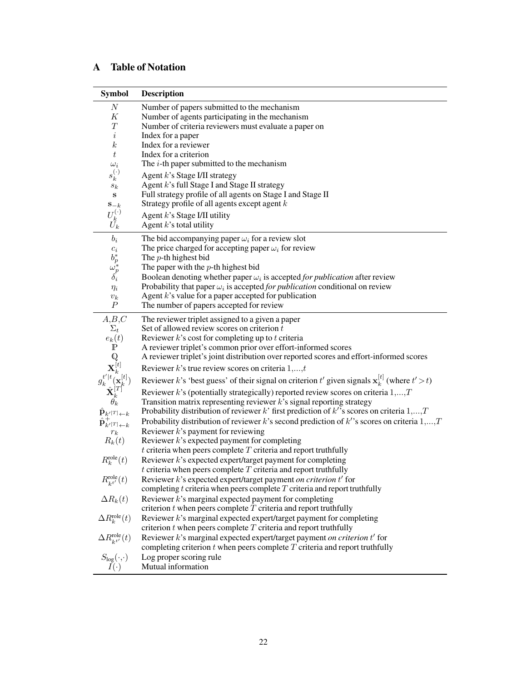# <span id="page-21-0"></span>A Table of Notation

| <b>Symbol</b>                                                                                                                                                         | <b>Description</b>                                                                                             |
|-----------------------------------------------------------------------------------------------------------------------------------------------------------------------|----------------------------------------------------------------------------------------------------------------|
| $\boldsymbol{N}$                                                                                                                                                      | Number of papers submitted to the mechanism                                                                    |
| Κ                                                                                                                                                                     | Number of agents participating in the mechanism                                                                |
| $\scriptstyle T$                                                                                                                                                      | Number of criteria reviewers must evaluate a paper on                                                          |
| $\it i$                                                                                                                                                               | Index for a paper                                                                                              |
| $\boldsymbol{k}$                                                                                                                                                      | Index for a reviewer                                                                                           |
| t                                                                                                                                                                     | Index for a criterion                                                                                          |
| $\omega_i$                                                                                                                                                            | The $i$ -th paper submitted to the mechanism                                                                   |
| $s_k^{(\cdot)}$                                                                                                                                                       | Agent k's Stage I/II strategy                                                                                  |
| $s_{k}$                                                                                                                                                               | Agent k's full Stage I and Stage II strategy                                                                   |
| S                                                                                                                                                                     | Full strategy profile of all agents on Stage I and Stage II                                                    |
| $S_{-k}$                                                                                                                                                              | Strategy profile of all agents except agent $k$                                                                |
| $U_k^{(\cdot)}$ $U_k$                                                                                                                                                 | Agent $k$ 's Stage I/II utility                                                                                |
|                                                                                                                                                                       | Agent $k$ 's total utility                                                                                     |
| $\mathfrak{b}_i$                                                                                                                                                      | The bid accompanying paper $\omega_i$ for a review slot                                                        |
|                                                                                                                                                                       | The price charged for accepting paper $\omega_i$ for review                                                    |
|                                                                                                                                                                       | The $p$ -th highest bid                                                                                        |
| $c_i \atop {b_p^* \atop \omega_p^*}$                                                                                                                                  | The paper with the $p$ -th highest bid                                                                         |
|                                                                                                                                                                       | Boolean denoting whether paper $\omega_i$ is accepted for publication after review                             |
| $\eta_i$                                                                                                                                                              | Probability that paper $\omega_i$ is accepted for publication conditional on review                            |
| $\boldsymbol{v}_k$                                                                                                                                                    | Agent $k$ 's value for a paper accepted for publication                                                        |
| $\boldsymbol{P}$                                                                                                                                                      | The number of papers accepted for review                                                                       |
| A,B,C                                                                                                                                                                 | The reviewer triplet assigned to a given a paper                                                               |
| $\Sigma_t$                                                                                                                                                            | Set of allowed review scores on criterion t                                                                    |
| $\begin{array}{c} e_k(t)\\ \mathbb{P} \end{array}$                                                                                                                    | Reviewer $k$ 's cost for completing up to $t$ criteria                                                         |
|                                                                                                                                                                       | A reviewer triplet's common prior over effort-informed scores                                                  |
| Q                                                                                                                                                                     | A reviewer triplet's joint distribution over reported scores and effort-informed scores                        |
| $\mathbf{Q} \ \mathbf{X}_k^{[t]} \ \boldsymbol{g}_k^{t' t}(\mathbf{x}_k^{[t]}) \ \mathbf{\hat{X}}_k^{[T]}\ \boldsymbol{\hat{\theta}}_k \ \boldsymbol{\hat{\theta}}_k$ | Reviewer $k$ 's true review scores on criteria $1, \ldots, t$                                                  |
|                                                                                                                                                                       | Reviewer k's 'best guess' of their signal on criterion t' given signals $\mathbf{x}_k^{[t]}$ (where $t' > t$ ) |
|                                                                                                                                                                       | Reviewer $k$ 's (potentially strategically) reported review scores on criteria $1, , T$                        |
|                                                                                                                                                                       | Transition matrix representing reviewer $k$ 's signal reporting strategy                                       |
| $\hat{\mathbf{p}}_{k'^{[T]}\leftarrow k}$                                                                                                                             | Probability distribution of reviewer k' first prediction of k''s scores on criteria $1,,T$                     |
| $\hat{\mathbf{p}}_{k^{\prime}\left[T\right]\leftarrow k}^{+}$                                                                                                         | Probability distribution of reviewer k's second prediction of k''s scores on criteria $1,,T$                   |
| $r_k$<br>$R_k(t)$                                                                                                                                                     | Reviewer $k$ 's payment for reviewing<br>Reviewer $k$ 's expected payment for completing                       |
|                                                                                                                                                                       | $t$ criteria when peers complete $T$ criteria and report truthfully                                            |
| $R_k^{\text{role}}(t)$                                                                                                                                                | Reviewer $k$ 's expected expert/target payment for completing                                                  |
|                                                                                                                                                                       | $t$ criteria when peers complete $T$ criteria and report truthfully                                            |
| $R_{k^{t'}}^{\text{role}}(t)$                                                                                                                                         | Reviewer k's expected expert/target payment on criterion t' for                                                |
|                                                                                                                                                                       | completing $t$ criteria when peers complete $T$ criteria and report truthfully                                 |
| $\Delta R_k(t)$                                                                                                                                                       | Reviewer $k$ 's marginal expected payment for completing                                                       |
|                                                                                                                                                                       | criterion $t$ when peers complete $T$ criteria and report truthfully                                           |
| $\Delta R_k^{\text{role}}(t)$                                                                                                                                         | Reviewer $k$ 's marginal expected expert/target payment for completing                                         |
|                                                                                                                                                                       | criterion $t$ when peers complete $T$ criteria and report truthfully                                           |
| $\Delta R_{k^{t'}}^{\text{role}}(t)$                                                                                                                                  | Reviewer k's marginal expected expert/target payment on criterion t' for                                       |
|                                                                                                                                                                       | completing criterion $t$ when peers complete $T$ criteria and report truthfully                                |
| $S_{\log}(\cdot, \cdot)$<br>$I(\cdot)$                                                                                                                                | Log proper scoring rule                                                                                        |
|                                                                                                                                                                       | Mutual information                                                                                             |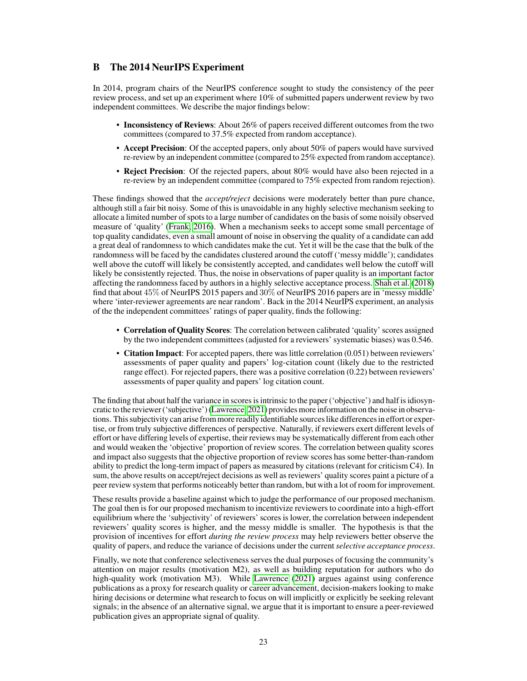# <span id="page-22-0"></span>B The 2014 NeurIPS Experiment

In 2014, program chairs of the NeurIPS conference sought to study the consistency of the peer review process, and set up an experiment where 10% of submitted papers underwent review by two independent committees. We describe the major findings below:

- Inconsistency of Reviews: About 26% of papers received different outcomes from the two committees (compared to 37.5% expected from random acceptance).
- Accept Precision: Of the accepted papers, only about 50% of papers would have survived re-review by an independent committee (compared to 25% expected from random acceptance).
- Reject Precision: Of the rejected papers, about 80% would have also been rejected in a re-review by an independent committee (compared to 75% expected from random rejection).

These findings showed that the *accept/reject* decisions were moderately better than pure chance, although still a fair bit noisy. Some of this is unavoidable in any highly selective mechanism seeking to allocate a limited number of spots to a large number of candidates on the basis of some noisily observed measure of 'quality' [\(Frank, 2016\)](#page-18-21). When a mechanism seeks to accept some small percentage of top quality candidates, even a small amount of noise in observing the quality of a candidate can add a great deal of randomness to which candidates make the cut. Yet it will be the case that the bulk of the randomness will be faced by the candidates clustered around the cutoff ('messy middle'); candidates well above the cutoff will likely be consistently accepted, and candidates well below the cutoff will likely be consistently rejected. Thus, the noise in observations of paper quality is an important factor affecting the randomness faced by authors in a highly selective acceptance process. [Shah et al.](#page-19-1) [\(2018\)](#page-19-1) find that about 45% of NeurIPS 2015 papers and 30% of NeurIPS 2016 papers are in 'messy middle' where 'inter-reviewer agreements are near random'. Back in the 2014 NeurIPS experiment, an analysis of the the independent committees' ratings of paper quality, finds the following:

- Correlation of Quality Scores: The correlation between calibrated 'quality' scores assigned by the two independent committees (adjusted for a reviewers' systematic biases) was 0.546.
- Citation Impact: For accepted papers, there was little correlation (0.051) between reviewers' assessments of paper quality and papers' log-citation count (likely due to the restricted range effect). For rejected papers, there was a positive correlation (0.22) between reviewers' assessments of paper quality and papers' log citation count.

The finding that about half the variance in scores is intrinsic to the paper ('objective') and half is idiosyncratic to the reviewer ('subjective') [\(Lawrence, 2021\)](#page-18-0) provides more information on the noise in observations. This subjectivity can arise from more readily identifiable sources like differences in effort or expertise, or from truly subjective differences of perspective. Naturally, if reviewers exert different levels of effort or have differing levels of expertise, their reviews may be systematically different from each other and would weaken the 'objective' proportion of review scores. The correlation between quality scores and impact also suggests that the objective proportion of review scores has some better-than-random ability to predict the long-term impact of papers as measured by citations (relevant for criticism C4). In sum, the above results on accept/reject decisions as well as reviewers' quality scores paint a picture of a peer review system that performs noticeably better than random, but with a lot of room for improvement.

These results provide a baseline against which to judge the performance of our proposed mechanism. The goal then is for our proposed mechanism to incentivize reviewers to coordinate into a high-effort equilibrium where the 'subjectivity' of reviewers' scores is lower, the correlation between independent reviewers' quality scores is higher, and the messy middle is smaller. The hypothesis is that the provision of incentives for effort *during the review process* may help reviewers better observe the quality of papers, and reduce the variance of decisions under the current *selective acceptance process*.

Finally, we note that conference selectiveness serves the dual purposes of focusing the community's attention on major results (motivation M2), as well as building reputation for authors who do high-quality work (motivation M3). While [Lawrence](#page-18-0) [\(2021\)](#page-18-0) argues against using conference publications as a proxy for research quality or career advancement, decision-makers looking to make hiring decisions or determine what research to focus on will implicitly or explicitly be seeking relevant signals; in the absence of an alternative signal, we argue that it is important to ensure a peer-reviewed publication gives an appropriate signal of quality.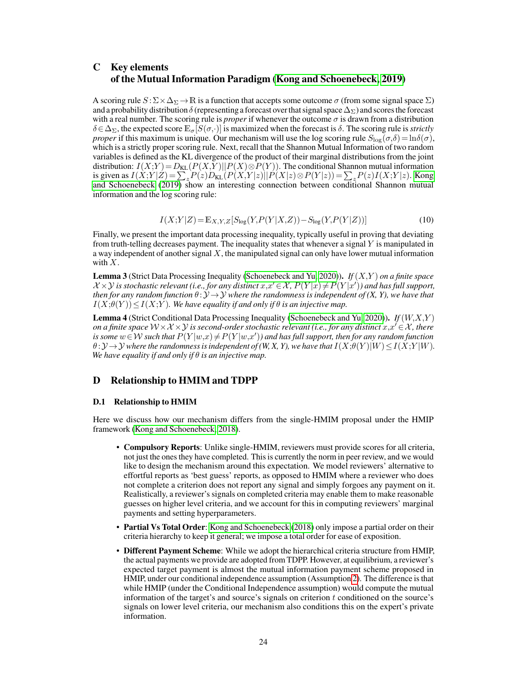# <span id="page-23-0"></span>C Key elements of the Mutual Information Paradigm [\(Kong and Schoenebeck, 2019\)](#page-18-16)

A scoring rule  $S: \Sigma \times \Delta_{\Sigma} \to \mathbb{R}$  is a function that accepts some outcome  $\sigma$  (from some signal space  $\Sigma$ ) and a probability distribution  $\delta$  (representing a forecast over that signal space  $\Delta_{\Sigma}$ ) and scores the forecast with a real number. The scoring rule is *proper* if whenever the outcome  $\sigma$  is drawn from a distribution  $\delta \in \Delta_{\Sigma}$ , the expected score  $\mathbb{E}_{\sigma}[S(\sigma,\cdot)]$  is maximized when the forecast is  $\delta$ . The scoring rule is *strictly proper* if this maximum is unique. Our mechanism will use the log scoring rule  $S_{\text{log}}(\sigma,\delta) = \ln \delta(\sigma)$ , which is a strictly proper scoring rule. Next, recall that the Shannon Mutual Information of two random variables is defined as the KL divergence of the product of their marginal distributions from the joint distribution:  $I(X;Y) = D_{KL}(P(X,Y)||P(X) \otimes P(Y))$ . The conditional Shannon mutual information is given as  $I(X;Y|Z) = \sum_{z} P(z)D_{\text{KL}}(P(X,Y|z)||P(X|z)\otimes P(Y|z)) = \sum_{z} P(z)I(X;Y|z)$ . [Kong](#page-18-16) [and Schoenebeck](#page-18-16) [\(2019\)](#page-18-16) show an interesting connection between conditional Shannon mutual information and the log scoring rule:

$$
I(X;Y|Z) = \mathbb{E}_{X,Y,Z}[S_{\log}(Y, P(Y|X,Z)) - S_{\log}(Y, P(Y|Z))]
$$
\n(10)

<span id="page-23-2"></span>Finally, we present the important data processing inequality, typically useful in proving that deviating from truth-telling decreases payment. The inequality states that whenever a signal  $Y$  is manipulated in a way independent of another signal  $X$ , the manipulated signal can only have lower mutual information with  $X$ .

Lemma 3 (Strict Data Processing Inequality [\(Schoenebeck and Yu, 2020\)](#page-19-20)). *If* (X,Y ) *on a finite space*  $X \times Y$  is stochastic relevant (i.e., for any distinct  $x, x' \in X$ ,  $P(Y|x) \neq P(Y|x')$ ) and has full support, *then for any random function*  $\theta$ : $\mathcal{Y} \rightarrow \mathcal{Y}$  *where the randomness is independent of (X, Y), we have that*  $I(X;\theta(Y)) \leq I(X;Y)$ *. We have equality if and only if*  $\theta$  *is an injective map.* 

Lemma 4 (Strict Conditional Data Processing Inequality [\(Schoenebeck and Yu, 2020\)](#page-19-20)). *If* (W,X,Y ) *on a finite space*  $W \times X \times Y$  *is second-order stochastic relevant (i.e., for any distinct*  $x, x' \in \mathcal{X}$ *, there* is some  $w\in\mathcal{W}$  such that  $P(Y|w,x)\!\neq\!P(Y|w,x')$  and has full support, then for any random function  $\theta: \mathcal{Y} \to \mathcal{Y}$  where the randomness is independent of (W, X, Y), we have that  $I(X;\theta(Y)|W) \leq I(X;Y|W)$ . *We have equality if and only if* θ *is an injective map.*

## <span id="page-23-1"></span>D Relationship to HMIM and TDPP

#### D.1 Relationship to HMIM

Here we discuss how our mechanism differs from the single-HMIM proposal under the HMIP framework [\(Kong and Schoenebeck, 2018\)](#page-18-12).

- Compulsory Reports: Unlike single-HMIM, reviewers must provide scores for all criteria, not just the ones they have completed. This is currently the norm in peer review, and we would like to design the mechanism around this expectation. We model reviewers' alternative to effortful reports as 'best guess' reports, as opposed to HMIM where a reviewer who does not complete a criterion does not report any signal and simply forgoes any payment on it. Realistically, a reviewer's signals on completed criteria may enable them to make reasonable guesses on higher level criteria, and we account for this in computing reviewers' marginal payments and setting hyperparameters.
- Partial Vs Total Order: [Kong and Schoenebeck](#page-18-12) [\(2018\)](#page-18-12) only impose a partial order on their criteria hierarchy to keep it general; we impose a total order for ease of exposition.
- Different Payment Scheme: While we adopt the hierarchical criteria structure from HMIP, the actual payments we provide are adopted from TDPP. However, at equilibrium, a reviewer's expected target payment is almost the mutual information payment scheme proposed in HMIP, under our conditional independence assumption (Assumption [2\)](#page-10-1). The difference is that while HMIP (under the Conditional Independence assumption) would compute the mutual information of the target's and source's signals on criterion  $t$  conditioned on the source's signals on lower level criteria, our mechanism also conditions this on the expert's private information.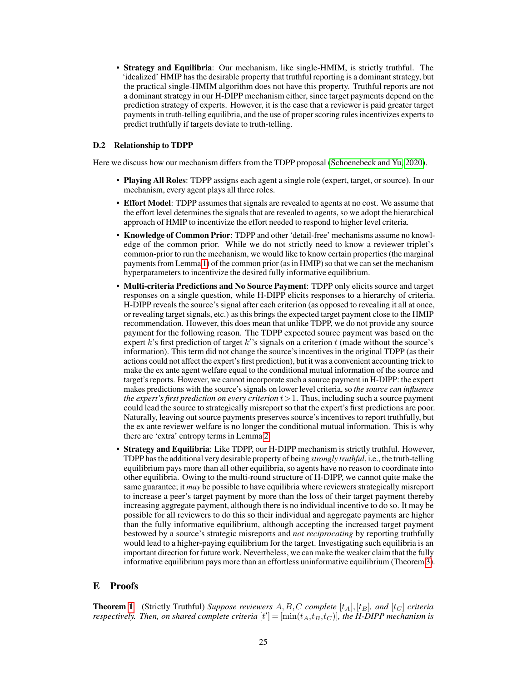• Strategy and Equilibria: Our mechanism, like single-HMIM, is strictly truthful. The 'idealized' HMIP has the desirable property that truthful reporting is a dominant strategy, but the practical single-HMIM algorithm does not have this property. Truthful reports are not a dominant strategy in our H-DIPP mechanism either, since target payments depend on the prediction strategy of experts. However, it is the case that a reviewer is paid greater target payments in truth-telling equilibria, and the use of proper scoring rules incentivizes experts to predict truthfully if targets deviate to truth-telling.

#### D.2 Relationship to TDPP

Here we discuss how our mechanism differs from the TDPP proposal [\(Schoenebeck and Yu, 2020\)](#page-19-20).

- Playing All Roles: TDPP assigns each agent a single role (expert, target, or source). In our mechanism, every agent plays all three roles.
- Effort Model: TDPP assumes that signals are revealed to agents at no cost. We assume that the effort level determines the signals that are revealed to agents, so we adopt the hierarchical approach of HMIP to incentivize the effort needed to respond to higher level criteria.
- Knowledge of Common Prior: TDPP and other 'detail-free' mechanisms assume no knowledge of the common prior. While we do not strictly need to know a reviewer triplet's common-prior to run the mechanism, we would like to know certain properties (the marginal payments from Lemma [1\)](#page-12-1) of the common prior (as in HMIP) so that we can set the mechanism hyperparameters to incentivize the desired fully informative equilibrium.
- Multi-criteria Predictions and No Source Payment: TDPP only elicits source and target responses on a single question, while H-DIPP elicits responses to a hierarchy of criteria. H-DIPP reveals the source's signal after each criterion (as opposed to revealing it all at once, or revealing target signals, etc.) as this brings the expected target payment close to the HMIP recommendation. However, this does mean that unlike TDPP, we do not provide any source payment for the following reason. The TDPP expected source payment was based on the expert k's first prediction of target k''s signals on a criterion t (made without the source's information). This term did not change the source's incentives in the original TDPP (as their actions could not affect the expert's first prediction), but it was a convenient accounting trick to make the ex ante agent welfare equal to the conditional mutual information of the source and target's reports. However, we cannot incorporate such a source payment in H-DIPP: the expert makes predictions with the source's signals on lower level criteria, so *the source can influence the expert's first prediction on every criterion*  $t > 1$ . Thus, including such a source payment could lead the source to strategically misreport so that the expert's first predictions are poor. Naturally, leaving out source payments preserves source's incentives to report truthfully, but the ex ante reviewer welfare is no longer the conditional mutual information. This is why there are 'extra' entropy terms in Lemma [2.](#page-13-0)
- Strategy and Equilibria: Like TDPP, our H-DIPP mechanism is strictly truthful. However, TDPP has the additional very desirable property of being *strongly truthful*, i.e., the truth-telling equilibrium pays more than all other equilibria, so agents have no reason to coordinate into other equilibria. Owing to the multi-round structure of H-DIPP, we cannot quite make the same guarantee; it *may* be possible to have equilibria where reviewers strategically misreport to increase a peer's target payment by more than the loss of their target payment thereby increasing aggregate payment, although there is no individual incentive to do so. It may be possible for all reviewers to do this so their individual and aggregate payments are higher than the fully informative equilibrium, although accepting the increased target payment bestowed by a source's strategic misreports and *not reciprocating* by reporting truthfully would lead to a higher-paying equilibrium for the target. Investigating such equilibria is an important direction for future work. Nevertheless, we can make the weaker claim that the fully informative equilibrium pays more than an effortless uninformative equilibrium (Theorem [3\)](#page-14-2).

## <span id="page-24-0"></span>E Proofs

**Theorem [1](#page-12-2)** (Strictly Truthful) *Suppose reviewers*  $A, B, C$  *complete*  $[t_A], [t_B]$ *, and*  $[t_C]$  *criteria respectively. Then, on shared complete criteria*  $[t'] = [\min(t_A,t_B,t_C)]$ *, the H-DIPP mechanism is*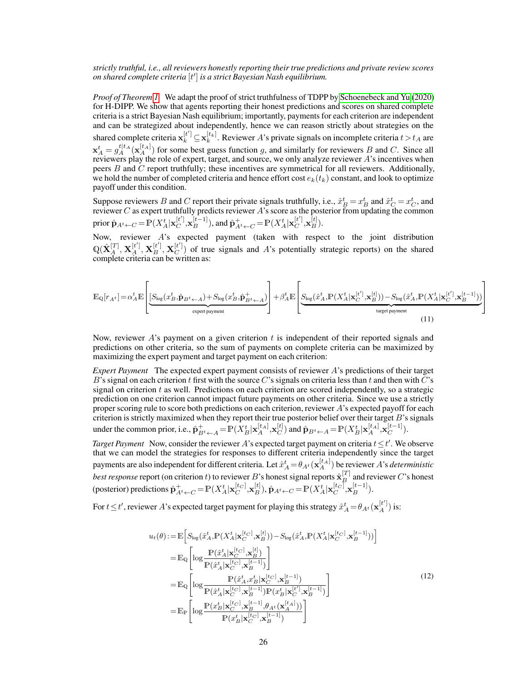*strictly truthful, i.e., all reviewers honestly reporting their true predictions and private review scores on shared complete criteria* [t 0 ] *is a strict Bayesian Nash equilibrium.*

*Proof of Theorem [1.](#page-12-2)* We adapt the proof of strict truthfulness of TDPP by [Schoenebeck and Yu](#page-19-20) [\(2020\)](#page-19-20) for H-DIPP. We show that agents reporting their honest predictions and scores on shared complete criteria is a strict Bayesian Nash equilibrium; importantly, payments for each criterion are independent and can be strategized about independently, hence we can reason strictly about strategies on the shared complete criteria  $\mathbf{x}_k^{[t']}\subseteq \mathbf{x}_k^{[t_k]}$ . Reviewer A's private signals on incomplete criteria  $t>t_A$  are  $\mathbf{x}_A^t = g_A^{t|t_A}(\mathbf{x}_A^{[t_A]})$  for some best guess function g, and similarly for reviewers B and C. Since all reviewers play the role of expert, target, and source, we only analyze reviewer  $A$ 's incentives when peers B and C report truthfully; these incentives are symmetrical for all reviewers. Additionally, we hold the number of completed criteria and hence effort cost  $e_k(t_k)$  constant, and look to optimize payoff under this condition.

Suppose reviewers B and C report their private signals truthfully, i.e.,  $\hat{x}_B^t = x_B^t$  and  $\hat{x}_C^t = x_C^t$ , and reviewer  $C$  as expert truthfully predicts reviewer  $A$ 's score as the posterior from updating the common prior  $\hat{\mathbf{p}}_{A^t \leftarrow C} = \mathbb{P}(X_A^t | \mathbf{x}_C^{[t']}$  $[\mathbf{t}']$ ,  $\mathbf{x}_{B}^{[t-1]}$ ), and  $\hat{\mathbf{p}}_{A^t \leftarrow C}^+ = \mathbb{P}(X_A^t | \mathbf{x}_{C}^{[t']}$  $\left[ t^{\prime }\right] ,\mathbf{x}_{B}^{\left[ t\right] }).$ 

Now, reviewer A's expected payment (taken with respect to the joint distribution  $\mathbb{Q}(\hat{\textbf{X}}^{[T]}_{A}, \textbf{X}^{[t']}_A, \textbf{X}^{[t']}_B, \textbf{X}^{[t']}_{C})$  $\binom{[t]}{C}$  of true signals and A's potentially strategic reports) on the shared complete criteria can be written as:

$$
\mathbb{E}_{\mathbf{Q}}[r_{A^t}] = \alpha_A^t \mathbb{E}\left[\underbrace{[S_{\log}(x_B^t, \hat{\mathbf{p}}_{B^t \leftarrow A}) + S_{\log}(x_B^t, \hat{\mathbf{p}}_{B^t \leftarrow A})}_{\text{expert payment}}\right] + \beta_A^t \mathbb{E}\left[\underbrace{S_{\log}(\hat{x}_A^t, \mathbb{P}(X_A^t | \mathbf{x}_C^{[t']}, \mathbf{x}_B^{[t]})) - S_{\log}(\hat{x}_A^t, \mathbb{P}(X_A^t | \mathbf{x}_C^{[t']}, \mathbf{x}_B^{[t-1]}))}_{\text{target payment}}\right]\right]
$$
\n(11)

Now, reviewer A's payment on a given criterion t is independent of their reported signals and predictions on other criteria, so the sum of payments on complete criteria can be maximized by maximizing the expert payment and target payment on each criterion:

*Expert Payment* The expected expert payment consists of reviewer A's predictions of their target B's signal on each criterion t first with the source C's signals on criteria less than t and then with C's signal on criterion  $t$  as well. Predictions on each criterion are scored independently, so a strategic prediction on one criterion cannot impact future payments on other criteria. Since we use a strictly proper scoring rule to score both predictions on each criterion, reviewer A's expected payoff for each criterion is strictly maximized when they report their true posterior belief over their target B's signals under the common prior, i.e.,  $\hat{\mathbf{p}}_{B^t \leftarrow A}^+ = \mathbb{P}(X_B^t | \mathbf{x}_A^{[t_A]}, \mathbf{x}_C^{[t]} )$  $\hat{\mathbf{P}}_{C}^{[t]}$ ) and  $\hat{\mathbf{p}}_{B^t \leftarrow A} = \mathbb{P}(X_B^t | \mathbf{x}_A^{[t_A]}, \mathbf{x}_C^{[t-1]}$  $\binom{[t-1]}{C}$ .

*Target Payment* Now, consider the reviewer A's expected target payment on criteria  $t \le t'$ . We observe that we can model the strategies for responses to different criteria independently since the target payments are also independent for different criteria. Let  $\hat{x}_A^t = \theta_{A^t}(\mathbf{x}_A^{[t_A]})$  be reviewer A's *deterministic best response* report (on criterion  $t$ ) to reviewer  $B$ 's honest signal reports  $\hat{\mathbf{x}}_B^{[T]}$  and reviewer  $C$ 's honest (posterior) predictions  $\hat{\mathbf{p}}_{A^t \leftarrow C}^+ = \mathbb{P}(X_A^t | \mathbf{x}_C^{[t_C]}, \mathbf{x}_B^{[t]})$ ,  $\hat{\mathbf{p}}_{A^t \leftarrow C} = \mathbb{P}(X_A^t | \mathbf{x}_C^{[t_C]}, \mathbf{x}_B^{[t-1]})$ .

For  $t \leq t'$ , reviewer A's expected target payment for playing this strategy  $\hat{x}^t_A = \theta_{A^t}(\mathbf{x}_A^{[t']})$  is:

$$
u_{t}(\theta) := \mathbb{E}\Big[S_{\log}(\hat{x}_{A}^{t}, \mathbb{P}(X_{A}^{t}|\mathbf{x}_{C}^{[t_{C}]}, \mathbf{x}_{B}^{[t]})) - S_{\log}(\hat{x}_{A}^{t}, \mathbb{P}(X_{A}^{t}|\mathbf{x}_{C}^{[t_{C}]}, \mathbf{x}_{B}^{[t-1]}))\Big]
$$
  
\n
$$
= \mathbb{E}_{\mathbb{Q}}\Bigg[\log \frac{\mathbb{P}(\hat{x}_{A}^{t}|\mathbf{x}_{C}^{[t_{C}]}, \mathbf{x}_{B}^{[t]})}{\mathbb{P}(\hat{x}_{A}^{t}|\mathbf{x}_{C}^{[t_{C}]}, \mathbf{x}_{B}^{[t-1]})}\Bigg]
$$
  
\n
$$
= \mathbb{E}_{\mathbb{Q}}\Bigg[\log \frac{\mathbb{P}(\hat{x}_{A}^{t}, \mathbf{x}_{B}^{t}|\mathbf{x}_{C}^{[t_{C}]}, \mathbf{x}_{B}^{[t-1]})}{\mathbb{P}(\hat{x}_{A}^{t}|\mathbf{x}_{C}^{[t-1]}, \mathbf{x}_{B}^{[t-1]})\mathbb{P}(x_{B}^{t}|\mathbf{x}_{C}^{[t']}, \mathbf{x}_{B}^{[t-1]})}\Bigg]
$$
  
\n
$$
= \mathbb{E}_{\mathbb{P}}\Bigg[\log \frac{\mathbb{P}(x_{B}^{t}|\mathbf{x}_{C}^{[t]}, \mathbf{x}_{B}^{[t-1]}, \theta_{A^{t}}(\mathbf{x}_{A}^{[t_{A}]}))}{\mathbb{P}(x_{B}^{t}|\mathbf{x}_{C}^{[t]}, \mathbf{x}_{B}^{[t-1]})}\Bigg]
$$
  
\n(12)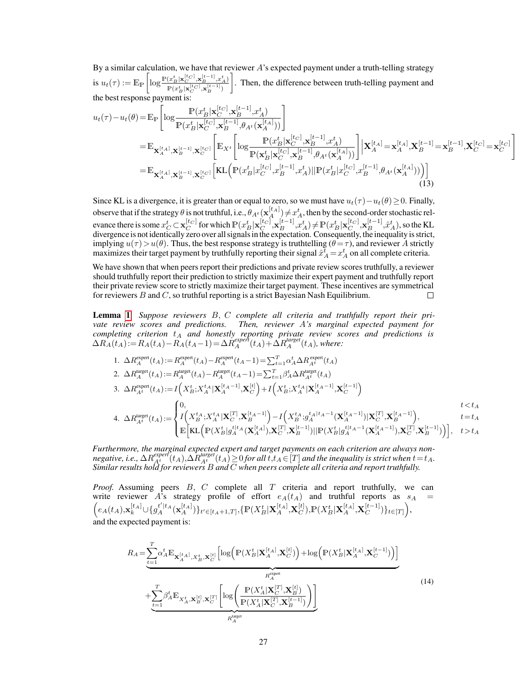By a similar calculation, we have that reviewer  $A$ 's expected payment under a truth-telling strategy is  $u_t(\tau) := \mathbb{E}_{\mathbb{P}}\left[ \log \frac{\mathbb{P}(x_B^t|\mathbf{x}_{C}^{[t_C]}, \mathbf{x}_{B}^{[t-1]}, x_A^t)}{\mathbb{P}(x_{C}^t|\mathbf{x}_{C}^{[t_C]}, \mathbb{P}(t_{B-1}^{[t-1]}))} \right]$  $\mathbb{P}(x_B^t|\mathbf{x}_{C}^{[t_C]},\mathbf{x}_{B}^{[t-1]})$  . Then, the difference between truth-telling payment and the best response payment is:

$$
u_{t}(\tau) - u_{t}(\theta) = \mathbb{E}_{\mathbb{P}}\left[\log \frac{\mathbb{P}(x_{B}^{t}|\mathbf{x}_{C}^{[t_{C}]}, \mathbf{x}_{B}^{[t-1]}, x_{A}^{t})}{\mathbb{P}(x_{B}^{t}|\mathbf{x}_{C}^{[t_{C}]}, \mathbf{x}_{B}^{[t-1]}, \theta_{A^{t}}(\mathbf{x}_{A}^{[t_{A}]}))}\right]
$$
\n
$$
= \mathbb{E}_{\mathbf{X}_{A}^{[t_{A}]}, \mathbf{X}_{B}^{[t-1]}, \mathbf{x}_{C}^{[t_{C}]}}\left[\mathbb{E}_{X^{t}}\left[\log \frac{\mathbb{P}(x_{B}^{t}|\mathbf{x}_{C}^{[t_{C}]}, \mathbf{x}_{B}^{[t-1]}, x_{A}^{t})}{\mathbb{P}(\mathbf{x}_{B}^{t}|\mathbf{x}_{C}^{[t_{C}]}, \mathbf{x}_{B}^{[t-1]}, \theta_{A^{t}}(\mathbf{x}_{A}^{[t_{A}]}))}\right]\right|\mathbf{X}_{A}^{[t_{A}]} = \mathbf{x}_{A}^{[t_{A}]}, \mathbf{X}_{B}^{[t-1]} = \mathbf{x}_{B}^{[t-1]}, \mathbf{X}_{C}^{[t_{C}]} = \mathbf{x}_{C}^{[t_{C}]}\left[\mathbb{E}_{\mathbf{X}_{A}^{[t-1]}, \mathbf{x}_{C}^{[t-1]}}\left[\mathbb{KL}\left(\mathbb{P}(x_{B}^{t}|\mathbf{x}_{C}^{[t_{C}]}, \mathbf{x}_{B}^{[t-1]}, x_{A}^{t})||\mathbb{P}(x_{B}^{t}|\mathbf{x}_{C}^{[t_{C}]}, x_{B}^{[t-1]}, \theta_{A^{t}}(\mathbf{x}_{A}^{[t_{A}]}))\right)\right]\right]
$$
\n(13)

Since KL is a divergence, it is greater than or equal to zero, so we must have  $u_t(\tau) - u_t(\theta) \ge 0$ . Finally, observe that if the strategy  $\theta$  is not truthful, i.e.,  $\theta_{A^t}(\mathbf{x}_A^{[t_A]}) \neq x_A^t$ , then by the second-order stochastic relevance there is some  $x_C^t \subset \mathbf{x}_C^{[t_C]}$  for which  $\mathbb{P}(x_B^t | \mathbf{x}_C^{[t_C]}, \mathbf{x}_B^{[t-1]}, x_A^t) \neq \mathbb{P}(x_B^t | \mathbf{x}_C^{[t_C]}, \mathbf{x}_B^{[t-1]}, \hat{x}_A^t)$ , so the KL divergence is not identically zero over all signals in the expectation. Consequently, the inequality is strict, implying  $u(\tau) > u(\theta)$ . Thus, the best response strategy is truthtelling ( $\theta = \tau$ ), and reviewer A strictly maximizes their target payment by truthfully reporting their signal  $\hat{x}_A^{\bar{t}} = x_A^t$  on all complete criteria.

We have shown that when peers report their predictions and private review scores truthfully, a reviewer should truthfully report their prediction to strictly maximize their expert payment and truthfully report their private review score to strictly maximize their target payment. These incentives are symmetrical for reviewers  $B$  and  $C$ , so truthful reporting is a strict Bayesian Nash Equilibrium.  $\Box$ 

Lemma [1](#page-12-1) *Suppose reviewers* B, C *complete all criteria and truthfully report their private review scores and predictions. Then, reviewer* A*'s marginal expected payment for completing criterion*  $t_A$  *and honestly reporting private review scores and predictions is*  $\Delta R_A(t_A) := R_A(t_A) - R_A(t_A - 1) = \Delta R_A^{experf}(t_A) + \Delta R_A^{target}(t_A)$ , where:

1. 
$$
\Delta R_A^{\text{expert}}(t_A) := R_A^{\text{expert}}(t_A) - R_A^{\text{expert}}(t_A - 1) = \sum_{t=1}^T \alpha_A^t \Delta R_A^{\text{expert}}(t_A)
$$
  
\n2. 
$$
\Delta R_A^{\text{target}}(t_A) := R_A^{\text{target}}(t_A) - R_A^{\text{target}}(t_A - 1) = \sum_{t=1}^T \beta_A^t \Delta R_A^{\text{target}}(t_A)
$$
  
\n3. 
$$
\Delta R_A^{\text{expert}}(t_A) := I\left(X_B^t; X_A^t A \, | \mathbf{X}_A^{[t_A - 1]}, \mathbf{X}_C^{[t]}\right) + I\left(X_B^t; X_A^t A \, | \mathbf{X}_A^{[t_A - 1]}, \mathbf{X}_C^{[t-1]}\right)
$$
  
\n4. 
$$
\Delta R_A^{\text{target}}(t_A) := \begin{cases} 0, & t < t_A \\ I\left(X_B^t; X_A^t A \, | \mathbf{X}_C^{[T]}, \mathbf{X}_B^{[t_A - 1]}\right) - I\left(X_B^t; g_A^{t_A | t_A - 1}(\mathbf{X}_A^{[t_A - 1]}) | \mathbf{X}_C^{[T]}, \mathbf{X}_B^{[t_A - 1]}\right), & t = t_A \\ \mathbb{E} \left[ \mathrm{KL} \left( \mathbb{P}(X_B^t | g_A^{t | t_A}(\mathbf{X}_A^{[t_A]}), \mathbf{X}_C^{[T]}, \mathbf{X}_B^{[t-1]}) || \mathbb{P}(X_B^t | g_A^{t | t_A - 1}(\mathbf{X}_A^{[t_A - 1]}), \mathbf{X}_C^{[T]}, \mathbf{X}_B^{[t-1]}) \right) \right], & t > t_A \end{cases}
$$

*Furthermore, the marginal expected expert and target payments on each criterion are always non* $a_n$  *negative, i.e.,*  $\Delta R_{A^t}^{exper}$  $(t_A)$ ,  $\Delta R_{A^t}^{target}(t_A)$   $\geq 0$  *for all*  $t$ ,  $t_A \in [T]$  *and the inequality is strict when*  $t = t_A$ . *Similar results hold for reviewers* B *and* C *when peers complete all criteria and report truthfully.*

*Proof.* Assuming peers B, C complete all T criteria and report truthfully, we can write reviewer A's strategy profile of effort  $e_A(t_A)$  and truthful reports as  $s_A$  =  $\Big(e_A(t_A), \mathbf{x}_k^{[t_A]}\cup \{g_A^{t'|t_A}(\mathbf{x}_A^{[t_A]})\}_{t'\in[t_A+1,T]}, \{\mathbb{P}(X_B^{t}|\mathbf{X}_A^{[t_A]},\mathbf{X}_C^{[t]})\}_{t\in[t_A+1,T]}$  $_{C}^{[t]}),\mathbb{P}(X_{B}^{t}|\mathbf{X}_{A}^{[t_{A}]},\mathbf{X}_{C}^{[t-1]})$  $_{C}^{[t-1]}\big) \}_{t\in[T]}\bigg),$ and the expected payment is:

$$
R_{A} = \underbrace{\sum_{t=1}^{T} \alpha_{A}^{t} \mathbb{E}_{\mathbf{X}_{A}^{[t,A]}, X_{B}^{t}, \mathbf{X}_{C}^{[t]}} \left[ \log \left( \mathbb{P}(X_{B}^{t} | \mathbf{X}_{A}^{[t,A]}, \mathbf{X}_{C}^{[t]}) \right) + \log \left( \mathbb{P}(X_{B}^{t} | \mathbf{X}_{A}^{[t,A]}, \mathbf{X}_{C}^{[t-1]}) \right) \right]}_{R_{A}^{\text{expert}}} + \underbrace{\sum_{t=1}^{T} \beta_{A}^{t} \mathbb{E}_{X_{A}^{t}, \mathbf{X}_{B}^{[t]}, \mathbf{X}_{C}^{[T]}} \left[ \log \left( \frac{\mathbb{P}(X_{A}^{t} | \mathbf{X}_{C}^{[T]}, \mathbf{X}_{B}^{[t]})}{\mathbb{P}(X_{A}^{t} | \mathbf{X}_{C}^{[T]}, \mathbf{X}_{B}^{[t-1]})} \right) \right]}_{R_{A}^{\text{target}}} \tag{14}
$$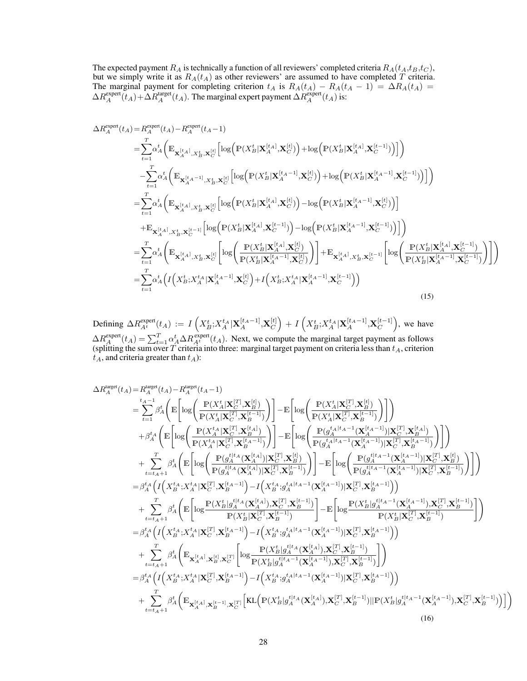The expected payment  $R_A$  is technically a function of all reviewers' completed criteria  $R_A(t_A,t_B,t_C)$ , but we simply write it as  $R_A(t_A)$  as other reviewers' are assumed to have completed T criteria. The marginal payment for completing criterion  $t_A$  is  $R_A(t_A) - R_A(t_A - 1) = \Delta R_A(t_A) =$  $\Delta R_A^{\text{expert}}(t_A) + \Delta R_A^{\text{target}}(t_A)$ . The marginal expert payment  $\Delta R_A^{\text{expert}}(t_A)$  is:

$$
\Delta R_{A}^{\text{expert}}(t_{A}) = R_{A}^{\text{expert}}(t_{A}) - R_{A}^{\text{expert}}(t_{A} - 1)
$$
\n
$$
= \sum_{t=1}^{T} \alpha_{A}^{t} \Big( \mathbb{E}_{\mathbf{X}_{A}^{[t_{A}]}, X_{B}^{t}, \mathbf{X}_{C}^{[t]}} \Big[ \log \Big( \mathbb{P}(X_{B}^{t} | \mathbf{X}_{A}^{[t_{A}]}, \mathbf{X}_{C}^{[t]}) \Big) + \log \Big( \mathbb{P}(X_{B}^{t} | \mathbf{X}_{A}^{[t_{A}]}, \mathbf{X}_{C}^{[t-1]}) \Big) \Big] \Big)
$$
\n
$$
- \sum_{t=1}^{T} \alpha_{A}^{t} \Big( \mathbb{E}_{\mathbf{X}_{A}^{[t_{A}]}, X_{B}^{t}, \mathbf{X}_{C}^{[t]}} \Big[ \log \Big( \mathbb{P}(X_{B}^{t} | \mathbf{X}_{A}^{[t_{A}-1]}, \mathbf{X}_{C}^{[t]}) \Big) + \log \Big( \mathbb{P}(X_{B}^{t} | \mathbf{X}_{A}^{[t_{A}-1]}, \mathbf{X}_{C}^{[t-1]}) \Big) \Big] \Big)
$$
\n
$$
= \sum_{t=1}^{T} \alpha_{A}^{t} \Big( \mathbb{E}_{\mathbf{X}_{A}^{[t_{A}]}, X_{B}^{t}, \mathbf{X}_{C}^{[t]}} \Big[ \log \Big( \mathbb{P}(X_{B}^{t} | \mathbf{X}_{A}^{[t_{A}]}, \mathbf{X}_{C}^{[t]}) \Big) - \log \Big( \mathbb{P}(X_{B}^{t} | \mathbf{X}_{A}^{[t_{A}-1]}, \mathbf{X}_{C}^{[t]}) \Big) \Big]
$$
\n
$$
+ \mathbb{E}_{\mathbf{X}_{A}^{[t_{A}]}, X_{B}^{t}, \mathbf{X}_{C}^{[t-1]}} \Big[ \log \Big( \mathbb{P}(X_{B}^{t} | \mathbf{X}_{A}^{[t_{A}]}, \mathbf{X}_{C}^{[t]}) \Big) - \log \Big( \mathbb{P}(X_{B}^{t} | \mathbf{X}_{A}^{[t_{A}-1]}, \mathbf{X}_{C}^{[t-1]})
$$

Defining  $\Delta R_{A^t}^{\text{expert}}(t_A) := I\left(X_B^t; X_A^{t_A}|\mathbf{X}_A^{[t_A-1]},\mathbf{X}_C^{[t]} \right)$  $\left[ \begin{matrix} \tau \ C \end{matrix} \right] + I \left( X_B^t; \hspace{-0.1cm} X_A^{t_A} \vert \textbf{X}_A^{[t_A-1]}, \hspace{-0.1cm} \textbf{X}_C^{[t-1]} \right)$  $\binom{[t-1]}{C}$ , we have  $\Delta R_A^{\text{expert}}(t_A) = \sum_{t=1}^T \alpha_A^t \Delta R_{A^t}^{\text{expert}}(t_A)$ . Next, we compute the marginal target payment as follows (splitting the sum over  $T$  criteria into three: marginal target payment on criteria less than  $t_A$ , criterion  $t_A$ , and criteria greater than  $t_A$ ):

$$
\begin{split} &\Delta R_A^{\text{target}}(t_A) = R_A^{\text{target}}(t_A) - R_A^{\text{target}}(t_A-1) \\ &= \sum_{t=1}^{t_A-1} \beta_A^t \Bigg( \mathbb{E} \bigg[ \log \bigg( \frac{\mathbb{P}(X_A^t|\mathbf{X}_C^{[T]},\mathbf{X}_B^{[t_1]})}{\mathbb{P}(X_A^t|\mathbf{X}_C^{[T]},\mathbf{X}_B^{[t_1]})} \bigg) \bigg] - \mathbb{E} \bigg[ \log \bigg( \frac{\mathbb{P}(X_A^t|\mathbf{X}_C^{[T]},\mathbf{X}_B^{[t_1]})}{\mathbb{P}(X_A^t|\mathbf{X}_C^{[T]},\mathbf{X}_B^{[t_1-1]})} \bigg) \bigg] \bigg) \\ &+ \beta_A^{\mathcal{U}_A} \bigg( \mathbb{E} \bigg[ \log \bigg( \frac{\mathbb{P}(X_A^t|\mathbf{X}_C^{[T]},\mathbf{X}_B^{[t_1-1]})}{\mathbb{P}(X_A^t|\mathbf{X}_C^{[T]},\mathbf{X}_B^{[t_1-1]})} \bigg) \bigg] - \mathbb{E} \bigg[ \log \bigg( \frac{\mathbb{P}(g_A^t|t_A-1(\mathbf{X}_A^{[t_A-1]}|\mathbf{X}_C^{[T]},\mathbf{X}_B^{[t_1-1]})}{\mathbb{P}(g_A^t|\mathbf{X}_A^{[t_A-1]}|\mathbf{X}_C^{[T]},\mathbf{X}_B^{[t_1-1]})} \bigg) \bigg] - \mathbb{E} \bigg[ \log \bigg( \frac{\mathbb{P}(g_A^t|t_A-1(\mathbf{X}_A^{[t_A-1]}|\mathbf{X}_C^{[T]},\mathbf{X}_B^{[t_1-1]})}{\mathbb{P}(g_A^t|\mathbf{X}_A^{[T-1]})|\mathbf{X}_C^{[T]},\mathbf{X}_B^{[t_1-1]}} \bigg) \bigg] \bigg) \bigg] \\ &+ \sum_{t=t_A+1}^T \beta_A^t \bigg( \mathbb{E} \bigg[ \log \frac{\mathbb{P}(X_B^t|g_A^t|\mathbf{X}_A^{[T]},\mathbf{X}_B^{[t_1-1]})}{\mathbb{P
$$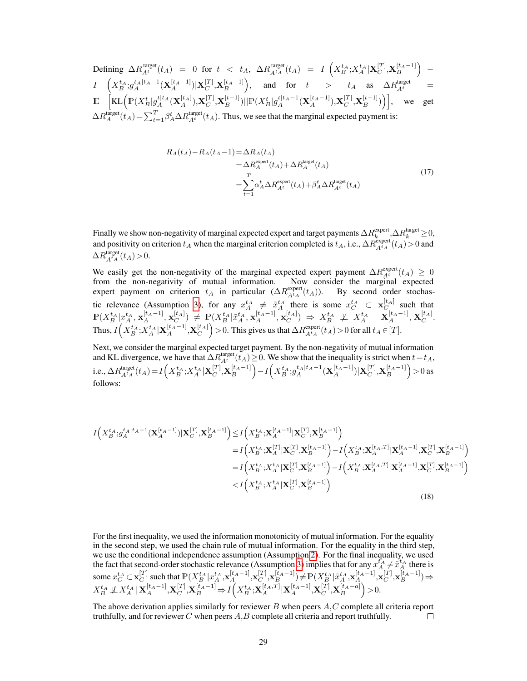$$
\begin{array}{lcl} \text{Defining} \ \ \Delta R_{A^t}^{\text{target}}(t_A) \ = \ 0 \ \ \text{for} \ \ t \ < \ \ t_A, \ \ \Delta R_{A^t A}^{\text{target}}(t_A) \ = \ I \ \left( X_B^{t_A}; X_A^{t_A} | \mathbf{X}_C^{[T]}, \mathbf{X}_B^{[t_A-1]} \right) \ - \\ I \quad \left( X_B^{t_A}; g_A^{t_A |t_A-1} (\mathbf{X}_A^{[t_A-1]}) | \mathbf{X}_C^{[T]}, \mathbf{X}_B^{[t_A-1]} \right), \quad \text{and} \quad \text{for} \quad t \ > \ \ t_A \quad \text{as} \quad \Delta R_{A^t}^{\text{target}} \ = \\ \mathbb{E} \quad \Big[ \mathrm{KL} \Big( \mathbb{P}(X_B^t | g_A^{t_A |t_A} (\mathbf{X}_A^{[t_A]}), \mathbf{X}_C^{[T]}, \mathbf{X}_B^{[t-1]}) || \mathbb{P}(X_B^t | g_A^{t|t_A-1} (\mathbf{X}_A^{[t_A-1]}), \mathbf{X}_C^{[T]}, \mathbf{X}_B^{[t-1]}) \Big) \Big], \quad \text{we} \quad \text{get} \\ \Delta R_{A}^{\text{target}}(t_A) = \sum_{t=1}^T \beta_A^t \Delta R_{A^t}^{\text{target}}(t_A). \ \text{Thus, we see that the marginal expected payment is:} \end{array}
$$

<span id="page-28-0"></span>
$$
R_A(t_A) - R_A(t_A - 1) = \Delta R_A(t_A)
$$
  
=  $\Delta R_A^{\text{expert}}(t_A) + \Delta R_A^{\text{target}}(t_A)$   
=  $\sum_{t=1}^T \alpha_A^t \Delta R_A^{\text{expert}}(t_A) + \beta_A^t \Delta R_A^{\text{target}}(t_A)$  (17)

Finally we show non-negativity of marginal expected expert and target payments  $\Delta R_k^{\text{expert}}, \Delta R_k^{\text{target}} \geq 0$ , and positivity on criterion  $t_A$  when the marginal criterion completed is  $t_A$ , i.e.,  $\Delta R_{A^t A}^{\text{expert}}(t_A) > 0$  and  $\Delta R_{A^t A}^{\text{target}}(t_A)$  > 0.

We easily get the non-negativity of the marginal expected expert payment  $\Delta R_{A^t}^{\text{expert}}(t_A) \geq 0$ from the non-negativity of mutual information. Now consider the marginal expected expert payment on criterion  $t_A$  in particular  $(\Delta R_{A^tA}^{\text{expert}}(t_A))$ . By second order stochas-tic relevance (Assumption [3\)](#page-10-2), for any  $x_A^{t_A} \neq \tilde{x}_A^{t_A}$  there is some  $x_C^{t_A} \subset \mathbf{x}_C^{[t_A]}$  such that  $\mathbb{P}(X^{t_A}_B | x^{t_A}_A, \mathbf{x}^{[t_A-1]}_A, \mathbf{x}^{[t_A]}_C) \ \neq \ \mathbb{P}(X^{t_A}_B | \tilde{x}^{t_A}_A, \mathbf{x}^{[t_A-1]}_A, \mathbf{x}^{[t_A]}_C) \ \Rightarrow \ X^{t_A}_B \ \ \not\!\! \perp \ \ X^{t_A}_A \ \ | \ \ \mathbf{X}^{[t_A-1]}_A, \mathbf{X}^{[t_A]}_C.$ Thus,  $I(X_B^{t_A}; X_A^{t_A} | \mathbf{X}_A^{[t_A-1]}, \mathbf{X}_C^{[t_A]}) > 0$ . This gives us that  $\Delta R_{A^tA}^{\text{expert}}(t_A) > 0$  for all  $t_A \in [T]$ .

Next, we consider the marginal expected target payment. By the non-negativity of mutual information and KL divergence, we have that  $\Delta R_{A^t}^{\text{target}}(t_A) \geq 0$ . We show that the inequality is strict when  $t=t_A$ , i.e.,  $\Delta R_{A^tA}^{\text{target}}(t_A) = I\left(X_B^{t_A}; X_A^{t_A}|\mathbf{X}_C^{[T]}\right)$  $\left[ \begin{matrix} [T], {\bf X}_B^{[t_A-1]} \end{matrix} \right] - I \Bigl( X_B^{t_A} ; g_A^{t_A | t_A - 1} ({\bf X}_A^{[t_A-1]})| {\bf X}_C^{[T]} \Bigr)$  $\binom{[T]}{C}, \mathbf{X}_{B}^{[t_{A}-1]}\Big) > 0$  as follows:

$$
I\left(X_{B}^{t_{A}};g_{A}^{t_{A}|t_{A}-1}(\mathbf{X}_{A}^{[t_{A}-1]})|\mathbf{X}_{C}^{[T]},\mathbf{X}_{B}^{[t_{A}-1]}\right) \leq I\left(X_{B}^{t_{A}};\mathbf{X}_{A}^{[t_{A}-1]}|\mathbf{X}_{C}^{[T]},\mathbf{X}_{B}^{[t_{A}-1]}\right) = I\left(X_{B}^{t_{A}};\mathbf{X}_{A}^{[T]}|\mathbf{X}_{C}^{[T]},\mathbf{X}_{B}^{[t_{A}-1]}\right) - I\left(X_{B}^{t_{A}};\mathbf{X}_{A}^{[t_{A},T]}|\mathbf{X}_{A}^{[t_{A}-1]},\mathbf{X}_{C}^{[T]},\mathbf{X}_{B}^{[t_{A}-1]}\right) = I\left(X_{B}^{t_{A}};X_{A}^{t_{A}}|\mathbf{X}_{C}^{[T]},\mathbf{X}_{B}^{[t_{A}-1]}\right) - I\left(X_{B}^{t_{A}};\mathbf{X}_{A}^{[t_{A},T]}|\mathbf{X}_{A}^{[t_{A}-1]},\mathbf{X}_{C}^{[T]},\mathbf{X}_{B}^{[t_{A}-1]}\right) < I\left(X_{B}^{t_{A}};X_{A}^{t_{A}}|\mathbf{X}_{C}^{[T]},\mathbf{X}_{B}^{[t_{A}-1]}\right)
$$
\n(18)

For the first inequality, we used the information monotonicity of mutual information. For the equality in the second step, we used the chain rule of mutual information. For the equality in the third step, we use the conditional independence assumption (Assumption [2\)](#page-10-1). For the final inequality, we used the fact that second-order stochastic relevance (Assumption [3\)](#page-10-2) implies that for any  $x_A^{t_A} \neq \tilde{x}_A^{t_A}$  there is some  $x_C^{t_A} \negthinspace \subset \negthinspace \mathbf{x}^{[T]}_C$  $\mathbb{E}_{C}^{[T]}$  such that  $\mathbb{P}(X^{t_A}_B | x^{t_A}_A, \mathbf{x}_A^{[t_A-1]}, \mathbf{x}_C^{[T]})$  $\mathbb{P}(X^{t_A-1]}_B)\!\neq\! \mathbb{P}(X^{t_A}_B|\tilde{x}^{t_A}_A,\!\mathbf{x}^{[t_A-1]}_{A},\!\mathbf{x}^{[T]}_C)$  $\left[\begin{matrix} T\\ C\end{matrix}\right],\mathbf{x}_{B}^{[t_{A}-1]}) \Rightarrow$  $X^{t_A}_B \not\!\perp\!\!\!\perp X^{t_A}_A | \mathbf{X}^{[t_A-1]}_{A},\! \mathbf{X}^{[T]}_{C}$  $\mathbf{X}_{C}^{[T]},\mathbf{X}_{B}^{[t_{A}-1]}\Rightarrow I\Bigl(X_{B}^{t},\mathbf{X}_{A}^{[t_{A},T]}|\mathbf{X}_{A}^{[t_{A}-1]},\mathbf{X}_{C}^{[T]}\Bigr)$  $\left[ C^T \right], \mathbf{X}_{B}^{[t_A - a]}$  > 0.

The above derivation applies similarly for reviewer  $B$  when peers  $A, C$  complete all criteria report truthfully, and for reviewer  $C$  when peers  $A, B$  complete all criteria and report truthfully.  $\Box$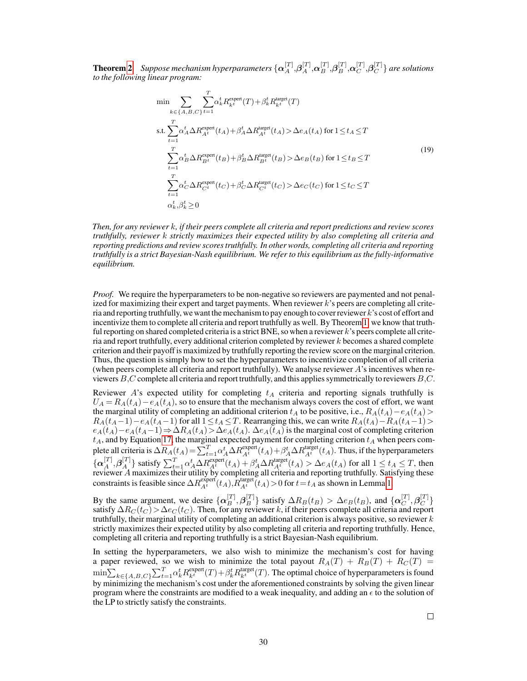**Theorem [2](#page-13-1)** Suppose mechanism hyperparameters  $\{\boldsymbol{\alpha}_A^{[T]},\boldsymbol{\beta}_A^{[T]},\boldsymbol{\alpha}_B^{[T]},\boldsymbol{\beta}_B^{[T]},\boldsymbol{\alpha}_C^{[T]} \}$  $_{C}^{[T]}\mathbf{,}\bm{\beta}_{C}^{[T]}$  $\left\{ \right\}^{I}$  are solutions *to the following linear program:*

$$
\min \sum_{k \in \{A, B, C\}} \sum_{t=1}^{T} \alpha_k^t R_{kt}^{\text{expert}}(T) + \beta_k^t R_{kt}^{\text{target}}(T)
$$
\n
$$
\text{s.t.} \sum_{t=1}^{T} \alpha_A^t \Delta R_{At}^{\text{expert}}(t_A) + \beta_A^t \Delta R_{At}^{\text{target}}(t_A) > \Delta e_A(t_A) \text{ for } 1 \le t_A \le T
$$
\n
$$
\sum_{t=1}^{T} \alpha_B^t \Delta R_{Bt}^{\text{expert}}(t_B) + \beta_B^t \Delta R_{Bt}^{\text{target}}(t_B) > \Delta e_B(t_B) \text{ for } 1 \le t_B \le T
$$
\n
$$
\sum_{t=1}^{T} \alpha_C^t \Delta R_{Ct}^{\text{expert}}(t_C) + \beta_C^t \Delta R_{Ct}^{\text{target}}(t_C) > \Delta e_C(t_C) \text{ for } 1 \le t_C \le T
$$
\n
$$
\alpha_k^t, \beta_k^t \ge 0
$$
\n
$$
(19)
$$

*Then, for any reviewer* k*, if their peers complete all criteria and report predictions and review scores truthfully, reviewer* k *strictly maximizes their expected utility by also completing all criteria and reporting predictions and review scores truthfully. In other words, completing all criteria and reporting truthfully is a strict Bayesian-Nash equilibrium. We refer to this equilibrium as the fully-informative equilibrium.*

*Proof.* We require the hyperparameters to be non-negative so reviewers are paymented and not penalized for maximizing their expert and target payments. When reviewer  $k$ 's peers are completing all criteria and reporting truthfully, we want the mechanism to pay enough to cover reviewer k's cost of effort and incentivize them to complete all criteria and report truthfully as well. By Theorem [1,](#page-12-2) we know that truthful reporting on shared completed criteria is a strict BNE, so when a reviewer  $k$ 's peers complete all criteria and report truthfully, every additional criterion completed by reviewer  $k$  becomes a shared complete criterion and their payoff is maximized by truthfully reporting the review score on the marginal criterion. Thus, the question is simply how to set the hyperparameters to incentivize completion of all criteria (when peers complete all criteria and report truthfully). We analyse reviewer A's incentives when reviewers  $B,C$  complete all criteria and report truthfully, and this applies symmetrically to reviewers  $B,C$ .

Reviewer A's expected utility for completing  $t_A$  criteria and reporting signals truthfully is  $U_A = R_A(t_A) - e_A(t_A)$ , so to ensure that the mechanism always covers the cost of effort, we want the marginal utility of completing an additional criterion  $t_A$  to be positive, i.e.,  $R_A(t_A) - e_A(t_A)$  $R_A(t_A-1)-e_A(t_A-1)$  for all  $1\leq t_A\leq T$ . Rearranging this, we can write  $R_A(t_A)-R_A(t_A-1)>$  $e_A(t_A)-e_A(t_A-1) \Rightarrow \Delta R_A(t_A) > \Delta e_A(t_A)$ .  $\Delta e_A(t_A)$  is the marginal cost of completing criterion  $t_A$ , and by Equation [17,](#page-28-0) the marginal expected payment for completing criterion  $t_A$  when peers complete all criteria is  $\Delta R_A(t_A) = \sum_{t=1}^T \alpha_A^t \Delta R_{A^t}^{\text{expert}}(t_A) + \beta_A^t \Delta R_{A^t}^{\text{target}}(t_A)$ . Thus, if the hyperparameters  $\{\boldsymbol{\alpha}_A^{[T]}, \boldsymbol{\beta}_A^{[T]}\}$  satisfy  $\sum_{t=1}^T \alpha_A^t \Delta R_{A^t}^{\text{expert}}(t_A) + \beta_A^t \Delta R_{A^t}^{\text{target}}(t_A) > \Delta e_A(t_A)$  for all  $1 \le t_A \le T$ , then reviewer A maximizes their utility by completing all criteria and reporting truthfully. Satisfying these constraints is feasible since  $\Delta R_{A^t}^{\text{expert}}(t_A)$ ,  $R_{A^t}^{\text{target}}(t_A) > 0$  for  $t = t_A$  as shown in Lemma [1.](#page-12-1)

By the same argument, we desire  $\{\alpha_B^{[T]}, \beta_B^{[T]}\}$  satisfy  $\Delta R_B(t_B) > \Delta e_B(t_B)$ , and  $\{\alpha_C^{[T]}\}$  $_C^{[T]}, \bm{\beta}_C^{[T]}$  $\left[\begin{smallmatrix}I&J\C&\end{smallmatrix}\right]$ satisfy  $\Delta R_C (t_C) \!>\! \Delta e_C (t_C).$  Then, for any reviewer  $k$ , if their peers complete all criteria and report truthfully, their marginal utility of completing an additional criterion is always positive, so reviewer  $k$ strictly maximizes their expected utility by also completing all criteria and reporting truthfully. Hence, completing all criteria and reporting truthfully is a strict Bayesian-Nash equilibrium.

In setting the hyperparameters, we also wish to minimize the mechanism's cost for having a paper reviewed, so we wish to minimize the total payout  $R_A(T) + R_B(T) + R_C(T) =$  $\min\sum_{k\in\{A,B,C\}}\sum_{t=1}^T\alpha_k^tR_{k^t}^{\text{expert}}(T)+\beta_k^tR_{k^t}^{\text{target}}(T).$  The optimal choice of hyperparameters is found by minimizing the mechanism's cost under the aforementioned constraints by solving the given linear program where the constraints are modified to a weak inequality, and adding an  $\epsilon$  to the solution of the LP to strictly satisfy the constraints.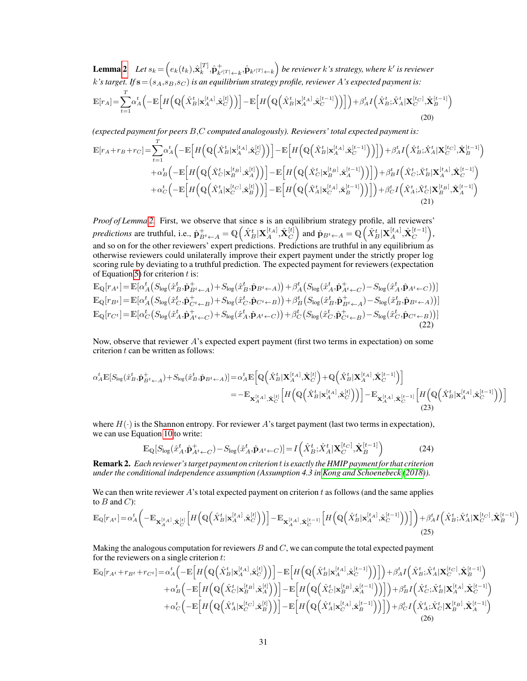**Lemma [2](#page-13-0)** Let  $s_k = (e_k(t_k), \hat{\mathbf{x}}_k^{[T]})$  $\hat{\mathbf{p}}_{k'}^{[T]},$   $\hat{\mathbf{p}}_{k'(T)+k}^{+},$   $\hat{\mathbf{p}}_{k'(T)+k}$   $\Big)$  be reviewer  $k$  's strategy, where  $k'$  is reviewer  $k$ *'s target. If*  $\mathbf{s}\!=\!(s_A,s_B,s_C)$  is an equilibrium strategy profile, reviewer  $A$ 's expected payment is:  $\mathbb{E}[r_A]=\sum_{i=1}^T$  $t=1$  $\alpha_A^t \Big(\!-\!\mathbb{E}\Big[H\Big(\mathbb{Q}\Big(\hat{X}_B^t|\mathbf{x}_A^{[t_A]},\!\hat{\mathbf{x}}_C^{[t]}\Big)\Big)\Big]\!-\!\mathbb{E}\Big[H\Big(\mathbb{Q}\Big(\hat{X}_B^t|\mathbf{x}_A^{[t_A]},\!\hat{\mathbf{x}}_C^{[t-1]}\Big)\Big)\Big]\Big) \!+\!\beta_A^t I\Big(\hat{X}_B^t;\!\hat{X}_A^t|\mathbf{X}_C^{[t_C]},\!\hat{\mathbf{X}}_B^{[t-1]}\Big)$ (20)

*(expected payment for peers* B,C *computed analogously). Reviewers' total expected payment is:*

$$
\mathbb{E}[r_A + r_B + r_C] = \sum_{t=1}^T \alpha_A^t \left( -\mathbb{E}\Big[H\Big(\mathbb{Q}\Big(\hat{X}_B^t | \mathbf{x}_A^{[t_A]}, \hat{\mathbf{x}}_C^{[t]}\Big)\Big)\Big] - \mathbb{E}\Big[H\Big(\mathbb{Q}\Big(\hat{X}_B^t | \mathbf{x}_A^{[t_A]}, \hat{\mathbf{x}}_C^{[t-1]}\Big)\Big)\Big]\right) + \beta_A^t I\Big(\hat{X}_B^t; \hat{X}_A^t | \mathbf{X}_C^{[t_C]}, \hat{\mathbf{X}}_B^{[t-1]}\Big) \\
+ \alpha_B^t \left( -\mathbb{E}\Big[H\Big(\mathbb{Q}\Big(\hat{X}_C^t | \mathbf{x}_B^{[t_B]}, \hat{\mathbf{x}}_A^{[t]}\Big)\Big)\Big] - \mathbb{E}\Big[H\Big(\mathbb{Q}\Big(\hat{X}_C^t | \mathbf{x}_B^{[t_B]}, \hat{\mathbf{x}}_A^{[t-1]}\Big)\Big)\Big]\right) + \beta_B^t I\Big(\hat{X}_C^t; \hat{X}_B^t | \mathbf{X}_A^{[t_A]}, \hat{\mathbf{x}}_C^{[t-1]}\Big) \\
+ \alpha_C^t \left( -\mathbb{E}\Big[H\Big(\mathbb{Q}\Big(\hat{X}_A^t | \mathbf{x}_C^{[t_C]}, \hat{\mathbf{x}}_B^{[t]}\Big)\Big)\Big] - \mathbb{E}\Big[H\Big(\mathbb{Q}\Big(\hat{X}_A^t | \mathbf{x}_C^{[t_A]}, \hat{\mathbf{x}}_B^{[t-1]}\Big)\Big)\Big]\right) + \beta_C^t I\Big(\hat{X}_A^t; \hat{X}_C^t | \mathbf{X}_B^{[t_B]}, \hat{\mathbf{X}}_A^{[t-1]}\Big) \\
+ \alpha_C^t \left( -\mathbb{E}\Big[H\Big(\mathbb{Q}\Big(\hat{X}_A^t | \mathbf{x}_C^{[t_C]}, \hat{\mathbf{x}}_B^{[t]}\Big)\Big)\Big] - \mathbb{E}\Big[H\Big(\mathbb{Q}\Big(\hat{X}_A^t | \mathbf{x}_C^{[t_A]}, \hat{\mathbf{x}}_B^{[t-1]}\Big)\Big)\Big]\right) + \beta_C^t I\Big(\hat{X}_A^t; \hat{X}_C^t | \mathbf{X}_B^{[t_B]}, \hat{\mathbf
$$

*Proof of Lemma [2.](#page-13-0)* First, we observe that since s is an equilibrium strategy profile, all reviewers' *predictions* are truthful, i.e.,  $\hat{\mathbf{p}}_{B^t \leftarrow A}^+ = \mathbb{Q} \left(\hat{X}_B^t | \mathbf{X}_A^{[t_A]}, \hat{\mathbf{X}}_C^{[t]} \right)$  $\begin{pmatrix} [t] \ C \end{pmatrix}$  and  $\hat{\mathbf{p}}_{B^t \leftarrow A} = \mathbb{Q} \left( \hat{X}_B^t | \mathbf{X}_A^{[t_A]}, \hat{\mathbf{X}}_C^{[t-1]} \right)$  $\binom{[t-1]}{C},$ and so on for the other reviewers' expert predictions. Predictions are truthful in any equilibrium as otherwise reviewers could unilaterally improve their expert payment under the strictly proper log scoring rule by deviating to a truthful prediction. The expected payment for reviewers (expectation of Equation [5\)](#page-11-1) for criterion  $t$  is:

$$
\mathbb{E}_{\mathbb{Q}}[r_{A^{t}}] = \mathbb{E}[\alpha_{A}^{t}(S_{\log}(\hat{x}_{B}^{t}, \hat{\mathbf{p}}_{B^{t}\leftarrow A}^{+}) + S_{\log}(\hat{x}_{B}^{t}, \hat{\mathbf{p}}_{B^{t}\leftarrow A})) + \beta_{A}^{t}(S_{\log}(\hat{x}_{A}^{t}, \hat{\mathbf{p}}_{A^{t}\leftarrow C}) - S_{\log}(\hat{x}_{A}^{t}, \hat{\mathbf{p}}_{A^{t}\leftarrow C}))]
$$
\n
$$
\mathbb{E}_{\mathbb{Q}}[r_{B^{t}}] = \mathbb{E}[\alpha_{A}^{t}(S_{\log}(\hat{x}_{C}^{t}, \hat{\mathbf{p}}_{C^{t}\leftarrow B}^{+}) + S_{\log}(\hat{x}_{C}^{t}, \hat{\mathbf{p}}_{C^{t}\leftarrow B})) + \beta_{B}^{t}(S_{\log}(\hat{x}_{B}^{t}, \hat{\mathbf{p}}_{B^{t}\leftarrow A}^{+}) - S_{\log}(\hat{x}_{B}^{t}, \hat{\mathbf{p}}_{B^{t}\leftarrow A}))]
$$
\n
$$
\mathbb{E}_{\mathbb{Q}}[r_{C^{t}}] = \mathbb{E}[\alpha_{C}^{t}(S_{\log}(\hat{x}_{A}^{t}, \hat{\mathbf{p}}_{A^{t}\leftarrow C}) + S_{\log}(\hat{x}_{A}^{t}, \hat{\mathbf{p}}_{A^{t}\leftarrow C})) + \beta_{C}^{t}(S_{\log}(\hat{x}_{C}^{t}, \hat{\mathbf{p}}_{C^{t}\leftarrow B}^{+}) - S_{\log}(\hat{x}_{C}^{t}, \hat{\mathbf{p}}_{C^{t}\leftarrow B}))]
$$
\n(22)

Now, observe that reviewer A's expected expert payment (first two terms in expectation) on some criterion  $t$  can be written as follows:

$$
\alpha_{A}^{t}\mathbb{E}[S_{\log}(\hat{x}_{B}^{t},\hat{\mathbf{p}}_{B^{t}\leftarrow A}^{+})+S_{\log}(\hat{x}_{B}^{t},\hat{\mathbf{p}}_{B^{t}\leftarrow A})] = \alpha_{A}^{t}\mathbb{E}\Big[\mathbb{Q}\Big(\hat{X}_{B}^{t}|\mathbf{X}_{A}^{[t_{A}]},\hat{\mathbf{X}}_{C}^{[t]}\Big)+\mathbb{Q}\Big(\hat{X}_{B}^{t}|\mathbf{X}_{A}^{[t_{A}]},\hat{\mathbf{X}}_{C}^{[t-1]}\Big)\Big] \n= -\mathbb{E}_{\mathbf{X}_{A}^{[t_{A}]},\hat{\mathbf{X}}_{C}^{[t]}}\Big[H\Big(\mathbb{Q}\Big(\hat{X}_{B}^{t}|\mathbf{x}_{A}^{[t_{A}]},\hat{\mathbf{x}}_{C}^{[t]}\Big)\Big)\Big]-\mathbb{E}_{\mathbf{X}_{A}^{[t_{A}]},\hat{\mathbf{X}}_{C}^{[t-1]}}\Big[H\Big(\mathbb{Q}\Big(\hat{X}_{B}^{t}|\mathbf{x}_{A}^{[t_{A}]},\hat{\mathbf{x}}_{C}^{[t-1]}\Big)\Big)\Big] \n= -\mathbb{E}_{\mathbf{X}_{A}^{[t_{A}]},\hat{\mathbf{x}}_{C}^{[t]}}\Big[H\Big(\mathbb{Q}\Big(\hat{X}_{B}^{t}|\mathbf{x}_{A}^{[t_{A}]},\hat{\mathbf{x}}_{C}^{[t-1]}\Big)\Big)\Big] - \mathbb{E}_{\mathbf{X}_{A}^{[t_{A}]},\hat{\mathbf{x}}_{C}^{[t-1]}}\Big[H\Big(\mathbb{Q}\Big(\hat{X}_{B}^{t}|\mathbf{x}_{A}^{[t_{A}]},\hat{\mathbf{x}}_{C}^{[t-1]}\Big)\Big)\Big]
$$
\n(23)

where  $H(\cdot)$  is the Shannon entropy. For reviewer A's target payment (last two terms in expectation), we can use Equation [10](#page-23-2) to write:

$$
\mathbb{E}_{\mathbb{Q}}[S_{\log}(\hat{x}_A^t, \hat{\mathbf{p}}_{A^t \leftarrow C}^+) - S_{\log}(\hat{x}_A^t, \hat{\mathbf{p}}_{A^t \leftarrow C})] = I\left(\hat{X}_B^t; \hat{X}_A^t | \mathbf{X}_C^{\{t_C\}}, \hat{\mathbf{X}}_B^{\{t-1\}}\right) \tag{24}
$$

Remark 2. *Each reviewer's target payment on criterion* t*is exactly the HMIP payment for that criterion under the conditional independence assumption (Assumption 4.3 in [Kong and Schoenebeck](#page-18-12) [\(2018\)](#page-18-12)).*

We can then write reviewer  $A$ 's total expected payment on criterion  $t$  as follows (and the same applies to  $B$  and  $C$ ):

$$
\mathbb{E}_{\mathbb{Q}}[r_{A^t}] = \alpha_A^t \left( -\mathbb{E}_{\mathbf{X}_A^{[t_A]}, \hat{\mathbf{X}}_C^{[t]}} \left[ H \left( \mathbb{Q} \left( \hat{X}_B^t | \mathbf{x}_A^{[t_A]}, \hat{\mathbf{x}}_C^{[t]} \right) \right) \right] - \mathbb{E}_{\mathbf{X}_A^{[t_A]}, \hat{\mathbf{X}}_C^{[t-1]}} \left[ H \left( \mathbb{Q} \left( \hat{X}_B^t | \mathbf{x}_A^{[t_A]}, \hat{\mathbf{x}}_C^{[t-1]} \right) \right) \right] \right) + \beta_A^t I \left( \hat{X}_B^t; \hat{X}_A^t | \mathbf{X}_C^{[t_C]}, \hat{\mathbf{X}}_B^{[t-1]} \right) \tag{25}
$$

Making the analogous computation for reviewers  $B$  and  $C$ , we can compute the total expected payment for the reviewers on a single criterion  $t$ :

$$
\mathbb{E}_{\mathbb{Q}}[r_{A^{t}}+r_{B^{t}}+r_{C^{t}}]=\alpha_{A}^{t}\left(-\mathbb{E}\left[H\left(\mathbb{Q}\left(\hat{X}_{B}^{t}|\mathbf{x}_{A}^{[t_{A}]},\hat{\mathbf{x}}_{C}^{[t]}\right)\right)\right]-\mathbb{E}\left[H\left(\mathbb{Q}\left(\hat{X}_{B}^{t}|\mathbf{x}_{A}^{[t_{A}]},\hat{\mathbf{x}}_{C}^{[t-1]}\right)\right)\right]+\beta_{A}^{t}I\left(\hat{X}_{B}^{t};\hat{X}_{A}^{t}|\mathbf{X}_{C}^{[t_{C}]},\hat{\mathbf{X}}_{B}^{[t-1]}\right)\right) +\alpha_{B}^{t}\left(-\mathbb{E}\left[H\left(\mathbb{Q}\left(\hat{X}_{C}^{t}|\mathbf{x}_{B}^{[t_{B}]},\hat{\mathbf{x}}_{A}^{[t]}\right)\right)\right]-\mathbb{E}\left[H\left(\mathbb{Q}\left(\hat{X}_{C}^{t}|\mathbf{x}_{B}^{[t_{B}]},\hat{\mathbf{x}}_{A}^{[t-1]}\right)\right)\right]\right)+\beta_{B}^{t}I\left(\hat{X}_{C}^{t};\hat{X}_{B}^{t}|\mathbf{X}_{A}^{[t_{A}]},\hat{\mathbf{X}}_{C}^{[t-1]}\right) +\alpha_{C}^{t}\left(-\mathbb{E}\left[H\left(\mathbb{Q}\left(\hat{X}_{A}^{t}|\mathbf{x}_{C}^{[t_{C}]},\hat{\mathbf{x}}_{B}^{[t]}\right)\right)\right]-\mathbb{E}\left[H\left(\mathbb{Q}\left(\hat{X}_{A}^{t}|\mathbf{x}_{C}^{[t_{A}]},\hat{\mathbf{x}}_{B}^{[t-1]}\right)\right)\right]\right)+\beta_{C}^{t}I\left(\hat{X}_{A}^{t};\hat{X}_{C}^{t}|\mathbf{X}_{B}^{[t_{B}]},\hat{\mathbf{X}}_{A}^{[t-1]}\right) (26)
$$